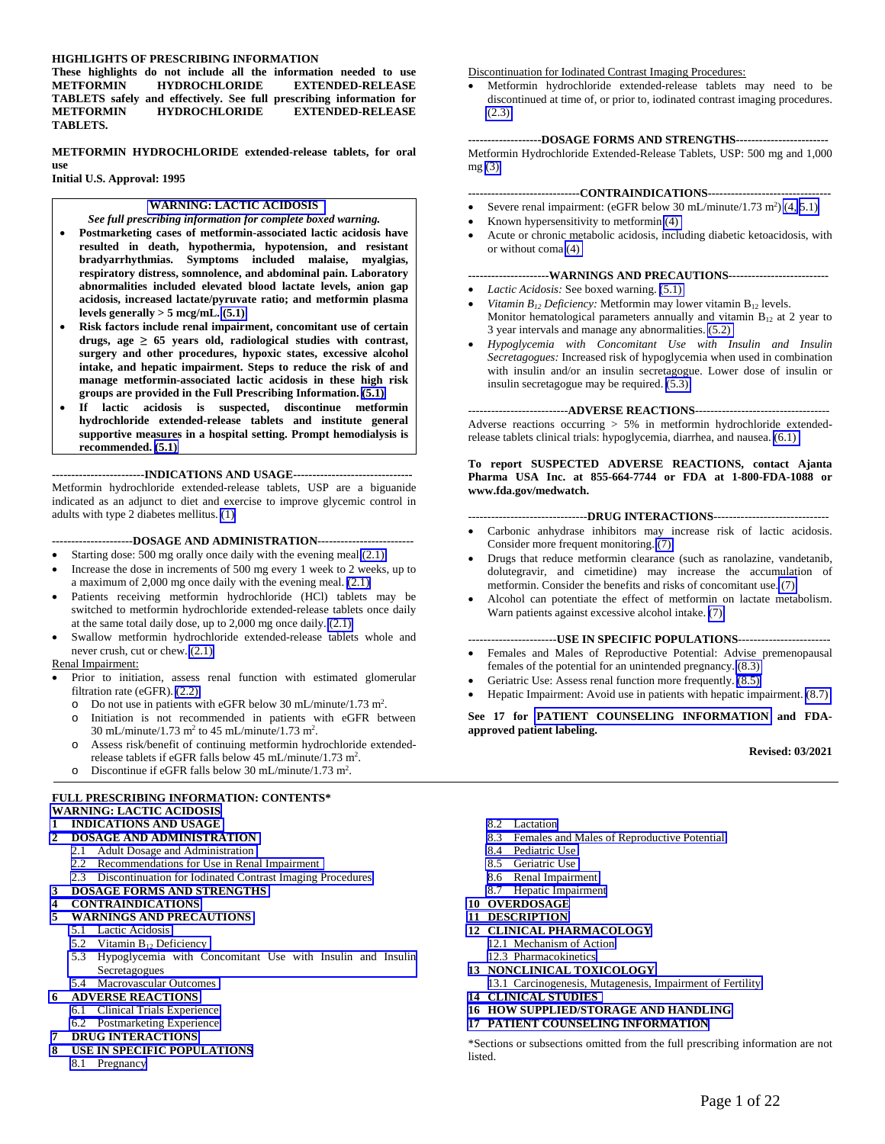#### **HIGHLIGHTS OF PRESCRIBING INFORMATION**

**These highlights do not include all the information needed to use EXTENDED-RELEASE TABLETS safely and effectively. See full prescribing information for EXTENDED-RELEASE TABLETS.** 

**METFORMIN HYDROCHLORIDE extended-release tablets, for oral use Initial U.S. Approval: 1995** 

#### **[WARNING: LACTIC ACIDOSIS](#page-1-0)**

*See full prescribing information for complete boxed warning.* 

- **Postmarketing cases of metformin-associated lactic acidosis have resulted in death, hypothermia, hypotension, and resistant bradyarrhythmias. Symptoms included malaise, myalgias, respiratory distress, somnolence, and abdominal pain. Laboratory abnormalities included elevated blood lactate levels, anion gap acidosis, increased lactate/pyruvate ratio; and metformin plasma levels generally > 5 mcg/mL. [\(5.1\)](#page-2-0)**
- **Risk factors include renal impairment, concomitant use of certain drugs, age ≥ 65 years old, radiological studies with contrast, surgery and other procedures, hypoxic states, excessive alcohol intake, and hepatic impairment. Steps to reduce the risk of and manage metformin-associated lactic acidosis in these high risk groups are provided in the Full Prescribing Information. [\(5.1\)](#page-2-0)**
- **If lactic acidosis is suspected, discontinue metformin hydrochloride extended-release tablets and institute general supportive measures in a hospital setting. Prompt hemodialysis is recommended. [\(5.1\)](#page-2-0)**

**------------------------INDICATIONS AND USAGE-------------------------------**  Metformin hydrochloride extended-release tablets, USP are a biguanide indicated as an adjunct to diet and exercise to improve glycemic control in adults with type 2 diabetes mellitus. [\(1\)](#page-1-0) 

#### **---------------------DOSAGE AND ADMINISTRATION-------------------------**

- Starting dose: 500 mg orally once daily with the evening meal [\(2.1\)](#page-1-0)
- Increase the dose in increments of 500 mg every 1 week to 2 weeks, up to a maximum of 2,000 mg once daily with the evening meal. [\(2.1\)](#page-1-0)
- Patients receiving metformin hydrochloride (HCl) tablets may be switched to metformin hydrochloride extended-release tablets once daily at the same total daily dose, up to 2,000 mg once daily. [\(2.1\)](#page-1-0)
- Swallow metformin hydrochloride extended-release tablets whole and never crush, cut or chew. [\(2.1\)](#page-1-0)

#### Renal Impairment:

- Prior to initiation, assess renal function with estimated glomerular filtration rate (eGFR). [\(2.2\)](#page-1-0) 
	- $\degree$  Do not use in patients with eGFR below 30 mL/minute/1.73 m<sup>2</sup>.
	- o Initiation is not recommended in patients with eGFR between 30 mL/minute/1.73 m<sup>2</sup> to 45 mL/minute/1.73 m<sup>2</sup>.
	- o Assess risk/benefit of continuing metformin hydrochloride extendedrelease tablets if eGFR falls below  $45 \text{ mL/minute} / 1.73 \text{ m}^2$ .
	- o Discontinue if eGFR falls below 30 mL/minute/1.73 m<sup>2</sup>.

#### **FULL PRESCRIBING INFORMATION: CONTENTS\* [WARNING: LACTIC ACIDOSIS](#page-1-0)**

#### **1 [INDICATIONS AND USAGE](#page-1-0)**

#### **2 [DOSAGE AND ADMINISTRATION](#page-1-0)**

- 2.1 [Adult Dosage and Administration](#page-1-0) 
	- 2.2 [Recommendations for Use in Renal Impairment](#page-1-0)
- 2.3 [Discontinuation for Iodinated Contrast Imaging Procedures](#page-2-0)

#### **3 [DOSAGE FORMS AND STRENGTHS](#page-2-0)**

**4 [CONTRAINDICATIONS](#page-2-0)** 

#### **5 [WARNINGS AND PRECAUTIONS](#page-2-0)**

- 5.1 [Lactic Acidosis](#page-2-0)
- 5.2 Vitamin  $B_{12}$  Deficiency
- 5.3 [Hypoglycemia with Concomitant Use with Insulin and Insulin](#page-5-0) Secretagogues
- 5.4 [Macrovascular Outcomes](#page-5-0)
- **6 [ADVERSE REACTIONS](#page-5-0)** 
	- 6.1 [Clinical Trials Experience](#page-5-0)
	- 6.2 [Postmarketing Experience](#page-6-0)

#### **7 [DRUG INTERACTIONS](#page-6-0)**

- **8 [USE IN SPECIFIC POPULATIONS](#page-7-0)**
	- 8.1 [Pregnancy](#page-7-0)

#### Discontinuation for Iodinated Contrast Imaging Procedures:

 Metformin hydrochloride extended-release tablets may need to be discontinued at time of, or prior to, iodinated contrast imaging procedures. [\(2.3\)](#page-2-0) 

**-------------------DOSAGE FORMS AND STRENGTHS------------------------**  Metformin Hydrochloride Extended-Release Tablets, USP: 500 mg and 1,000 mg [\(3\)](#page-2-0) 

#### **-----------------------------CONTRAINDICATIONS--------------------------------**

- Severe renal impairment: (eGFR below 30 mL/minute/1.73 m<sup>2</sup>)  $(4, 5.1)$
- Known hypersensitivity to metformin [\(4\)](#page-2-0)
- Acute or chronic metabolic acidosis, including diabetic ketoacidosis, with or without coma [\(4\)](#page-2-0)

#### **---------------------WARNINGS AND PRECAUTIONS--------------------------**

- *Lactic Acidosis:* See boxed warning. [\(5.1\)](#page-2-0)
- *Vitamin B<sub>12</sub> Deficiency:* Metformin may lower vitamin B<sub>12</sub> levels. Monitor hematological parameters annually and vitamin  $B_{12}$  at 2 year to 3 year intervals and manage any abnormalities. [\(5.2\)](#page-4-0)
- *Hypoglycemia with Concomitant Use with Insulin and Insulin Secretagogues:* Increased risk of hypoglycemia when used in combination with insulin and/or an insulin secretagogue. Lower dose of insulin or insulin secretagogue may be required. [\(5.3\)](#page-5-0)

#### --------------------------**ADVERSE REACTIONS**-----------------------------------

Adverse reactions occurring > 5% in metformin hydrochloride extendedrelease tablets clinical trials: hypoglycemia, diarrhea, and nausea. [\(6.1\)](#page-5-0) 

#### **To report SUSPECTED ADVERSE REACTIONS, contact Ajanta Pharma USA Inc. at 855-664-7744 or FDA at 1-800-FDA-1088 or www.fda.gov/medwatch.**

#### -------------------------------**DRUG INTERACTIONS**------------------------------

- Carbonic anhydrase inhibitors may increase risk of lactic acidosis. Consider more frequent monitoring. [\(7\)](#page-6-0)
- Drugs that reduce metformin clearance (such as ranolazine, vandetanib, dolutegravir, and cimetidine) may increase the accumulation of metformin. Consider the benefits and risks of concomitant use. [\(7\)](#page-6-0)
- Alcohol can potentiate the effect of metformin on lactate metabolism. Warn patients against excessive alcohol intake. [\(7\)](#page-6-0)

#### -----------------------**USE IN SPECIFIC POPULATIONS**------------------------

- Females and Males of Reproductive Potential: Advise premenopausal females of the potential for an unintended pregnancy. [\(8.3\)](#page-8-0)
- Geriatric Use: Assess renal function more frequently. [\(8.5\)](#page-9-0)
- Hepatic Impairment: Avoid use in patients with hepatic impairment. [\(8.7\)](#page-9-0)

#### **See 17 for [PATIENT COUNSELING INFORMATION](#page-16-0) and FDAapproved patient labeling.**

#### **Revised: 03/2021**

- 8.2 [Lactation](#page-8-0)
- 8.3 [Females and Males of Reproductive Potential](#page-8-0)
- 8.4 [Pediatric Use](#page-9-0)
- 8.5 [Geriatric Use](#page-9-0)
- 8.6 [Renal Impairment](#page-9-0)
- 8.7 [Hepatic Impairment](#page-9-0)
- **10 [OVERDOSAGE](#page-9-0)**
- **11 [DESCRIPTION](#page-9-0)**
- **12 [CLINICAL PHARMACOLOGY](#page-10-0)** 
	- 12.1 [Mechanism of Action](#page-10-0)
	- 12.3 [Pharmacokinetics](#page-10-0)
- **13 [NONCLINICAL TOXICOLOGY](#page-13-0)**
- 13.1 [Carcinogenesis, Mutagenesis, Impairment of Fertility](#page-13-0)  **14 [CLINICAL STUDIES](#page-14-0)**
- **16 [HOW SUPPLIED/STORAGE AND HANDLING](#page-16-0)**
- **17 [PATIENT COUNSELING INFORMATION](#page-16-0)**

\*Sections or subsections omitted from the full prescribing information are not listed.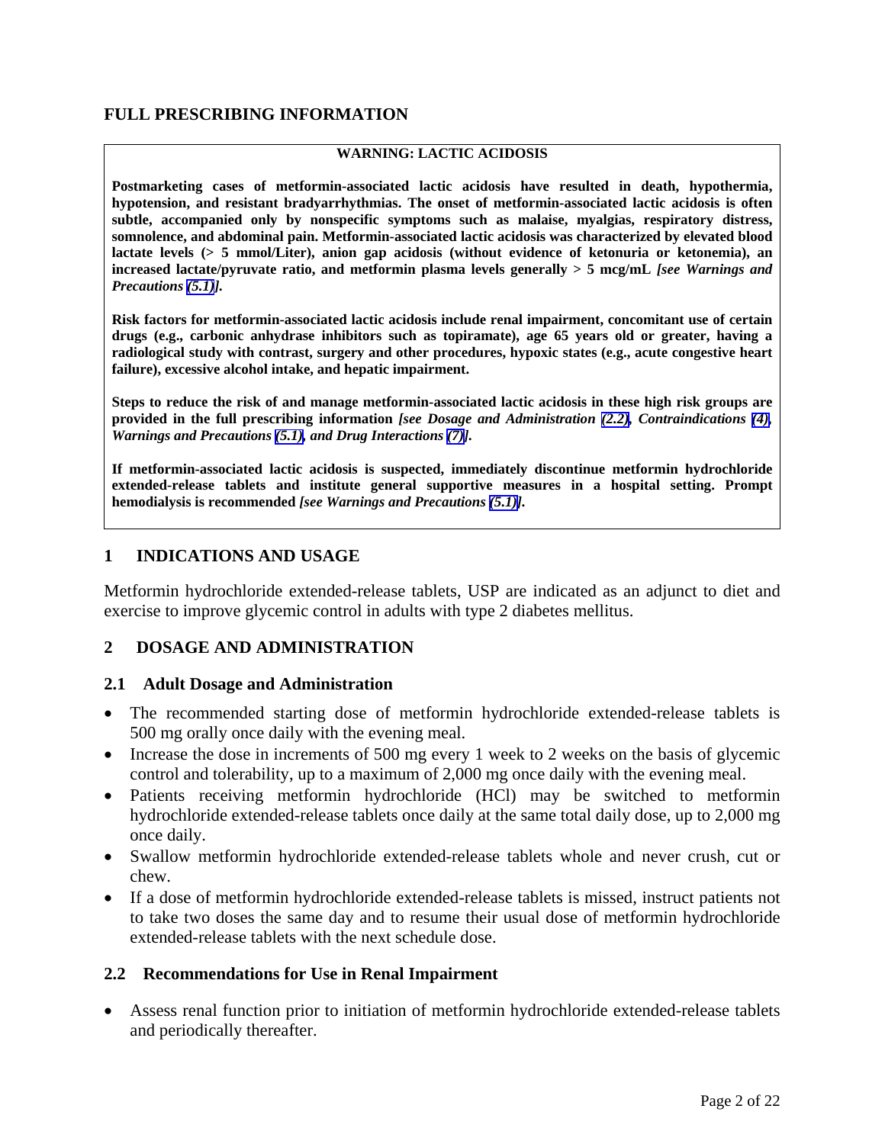## **FULL PRESCRIBING INFORMATION**

#### <span id="page-1-0"></span>**WARNING: LACTIC ACIDOSIS**

**Postmarketing cases of metformin-associated lactic acidosis have resulted in death, hypothermia, hypotension, and resistant bradyarrhythmias. The onset of metformin-associated lactic acidosis is often subtle, accompanied only by nonspecific symptoms such as malaise, myalgias, respiratory distress, somnolence, and abdominal pain. Metformin-associated lactic acidosis was characterized by elevated blood lactate levels (> 5 mmol/Liter), anion gap acidosis (without evidence of ketonuria or ketonemia), an increased lactate/pyruvate ratio, and metformin plasma levels generally > 5 mcg/mL** *[see Warnings and Precautions [\(5.1\)](#page-2-0)].*

**Risk factors for metformin-associated lactic acidosis include renal impairment, concomitant use of certain drugs (e.g., carbonic anhydrase inhibitors such as topiramate), age 65 years old or greater, having a radiological study with contrast, surgery and other procedures, hypoxic states (e.g., acute congestive heart failure), excessive alcohol intake, and hepatic impairment.** 

**Steps to reduce the risk of and manage metformin-associated lactic acidosis in these high risk groups are provided in the full prescribing information** *[see Dosage and Administration [\(2.2\)](#page-1-0), Contraindications [\(4\)](#page-2-0), Warnings and Precautions [\(5.1\)](#page-2-0), and Drug Interactions [\(7\)](#page-6-0)].*

**If metformin-associated lactic acidosis is suspected, immediately discontinue metformin hydrochloride extended-release tablets and institute general supportive measures in a hospital setting. Prompt hemodialysis is recommended** *[see Warnings and Precautions [\(5.1\)\]](#page-2-0).*

#### **1 INDICATIONS AND USAGE**

Metformin hydrochloride extended-release tablets, USP are indicated as an adjunct to diet and exercise to improve glycemic control in adults with type 2 diabetes mellitus.

#### **2 DOSAGE AND ADMINISTRATION**

#### **2.1 Adult Dosage and Administration**

- The recommended starting dose of metformin hydrochloride extended-release tablets is 500 mg orally once daily with the evening meal.
- Increase the dose in increments of 500 mg every 1 week to 2 weeks on the basis of glycemic control and tolerability, up to a maximum of 2,000 mg once daily with the evening meal.
- Patients receiving metformin hydrochloride (HCl) may be switched to metformin hydrochloride extended-release tablets once daily at the same total daily dose, up to 2,000 mg once daily.
- Swallow metformin hydrochloride extended-release tablets whole and never crush, cut or chew.
- If a dose of metformin hydrochloride extended-release tablets is missed, instruct patients not to take two doses the same day and to resume their usual dose of metformin hydrochloride extended-release tablets with the next schedule dose.

#### **2.2 Recommendations for Use in Renal Impairment**

 Assess renal function prior to initiation of metformin hydrochloride extended-release tablets and periodically thereafter.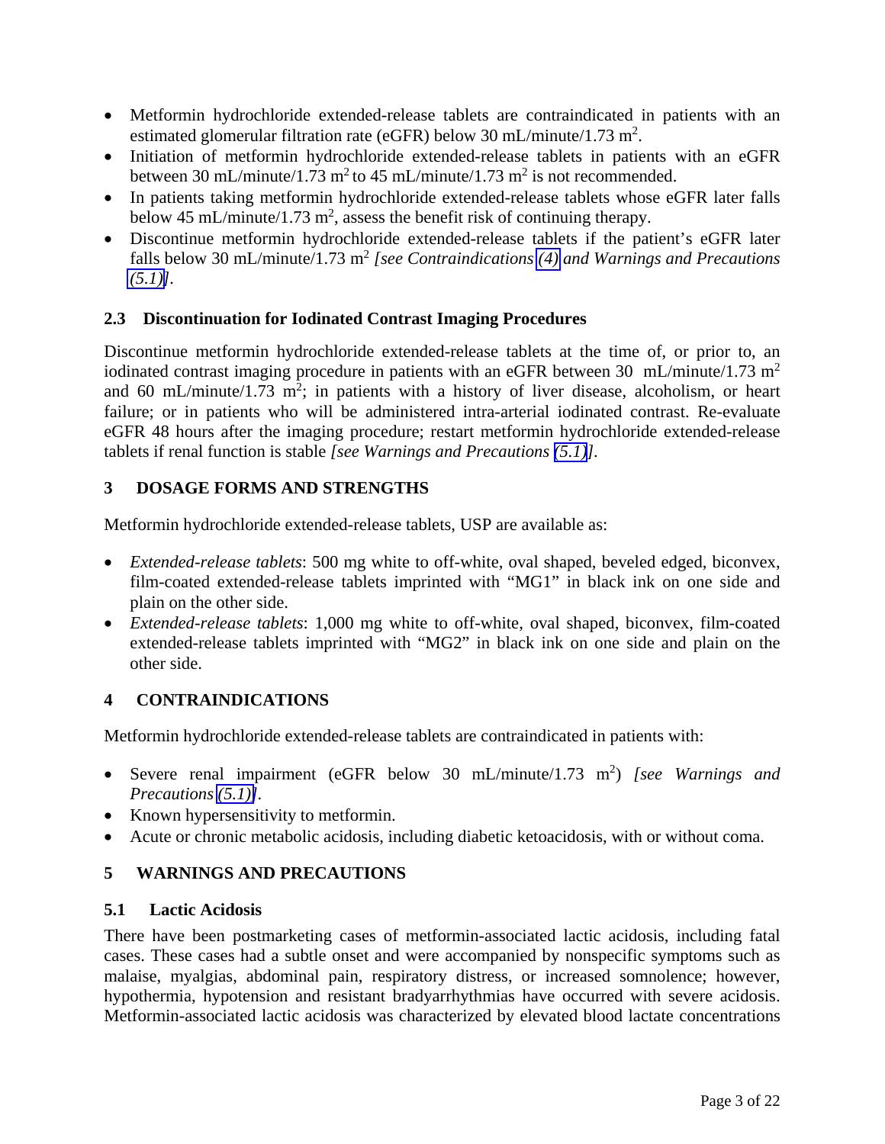- <span id="page-2-0"></span> Metformin hydrochloride extended-release tablets are contraindicated in patients with an estimated glomerular filtration rate (eGFR) below 30 mL/minute/1.73 m<sup>2</sup>.
- Initiation of metformin hydrochloride extended-release tablets in patients with an eGFR between 30 mL/minute/1.73 m<sup>2</sup> to 45 mL/minute/1.73 m<sup>2</sup> is not recommended.
- In patients taking metformin hydrochloride extended-release tablets whose eGFR later falls below 45 mL/minute/1.73 m<sup>2</sup>, assess the benefit risk of continuing therapy.
- Discontinue metformin hydrochloride extended-release tablets if the patient's eGFR later falls below 30 mL/minute/1.73 m2 *[see Contraindications [\(4\)](#page-2-0) and Warnings and Precautions [\(5.1\)\]](#page-2-0).*

## **2.3 Discontinuation for Iodinated Contrast Imaging Procedures**

Discontinue metformin hydrochloride extended-release tablets at the time of, or prior to, an iodinated contrast imaging procedure in patients with an eGFR between 30 mL/minute/1.73 m<sup>2</sup> and 60 mL/minute/1.73 m<sup>2</sup>; in patients with a history of liver disease, alcoholism, or heart failure; or in patients who will be administered intra-arterial iodinated contrast. Re-evaluate eGFR 48 hours after the imaging procedure; restart metformin hydrochloride extended-release tablets if renal function is stable *[see Warnings and Precautions [\(5.1\)](#page-2-0)].*

## **3 DOSAGE FORMS AND STRENGTHS**

Metformin hydrochloride extended-release tablets, USP are available as:

- *Extended-release tablets*: 500 mg white to off-white, oval shaped, beveled edged, biconvex, film-coated extended-release tablets imprinted with "MG1" in black ink on one side and plain on the other side.
- *Extended-release tablets*: 1,000 mg white to off-white, oval shaped, biconvex, film-coated extended-release tablets imprinted with "MG2" in black ink on one side and plain on the other side.

## **4 CONTRAINDICATIONS**

Metformin hydrochloride extended-release tablets are contraindicated in patients with:

- Severe renal impairment (eGFR below 30 mL/minute/1.73 m2 ) *[see Warnings and Precautions [\(5.1\)\]](#page-2-0).*
- Known hypersensitivity to metformin.
- Acute or chronic metabolic acidosis, including diabetic ketoacidosis, with or without coma.

# **5 WARNINGS AND PRECAUTIONS**

## **5.1 Lactic Acidosis**

There have been postmarketing cases of metformin-associated lactic acidosis, including fatal cases. These cases had a subtle onset and were accompanied by nonspecific symptoms such as malaise, myalgias, abdominal pain, respiratory distress, or increased somnolence; however, hypothermia, hypotension and resistant bradyarrhythmias have occurred with severe acidosis. Metformin-associated lactic acidosis was characterized by elevated blood lactate concentrations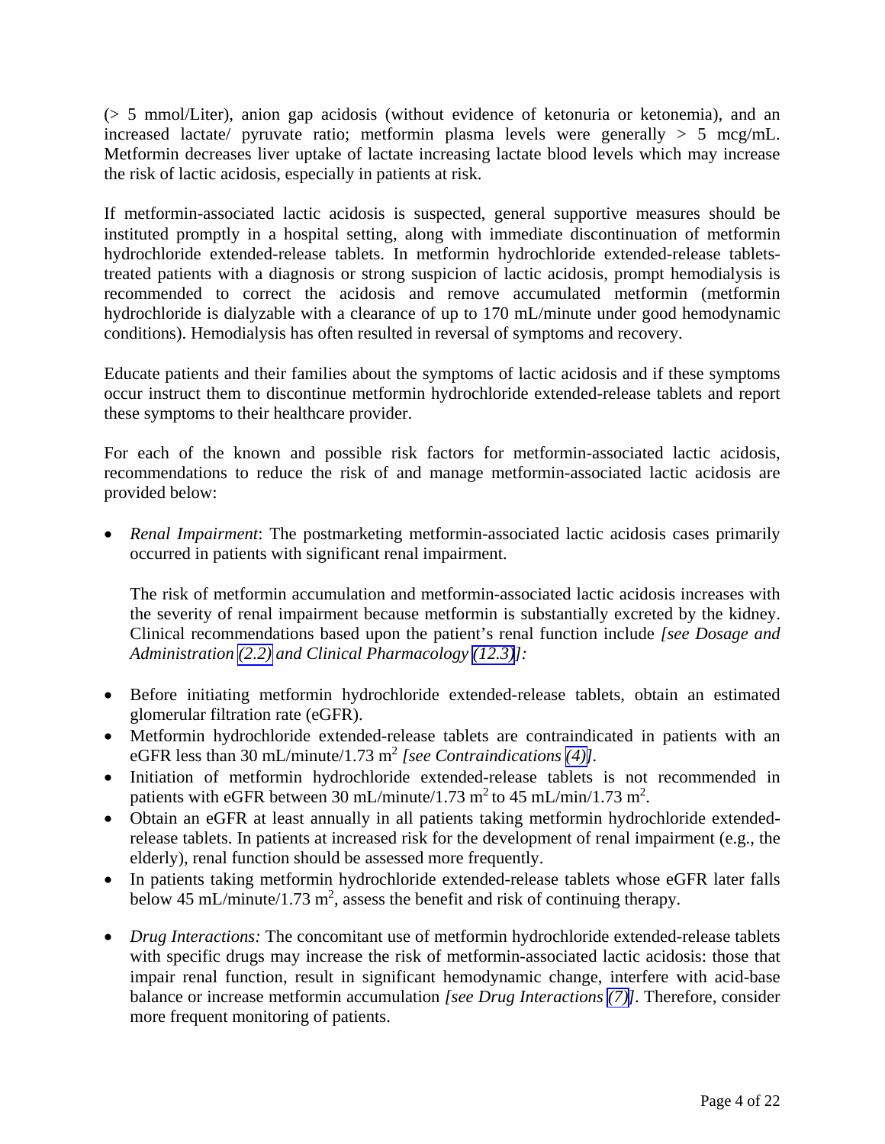(> 5 mmol/Liter), anion gap acidosis (without evidence of ketonuria or ketonemia), and an increased lactate/ pyruvate ratio; metformin plasma levels were generally  $> 5$  mcg/mL. Metformin decreases liver uptake of lactate increasing lactate blood levels which may increase the risk of lactic acidosis, especially in patients at risk.

If metformin-associated lactic acidosis is suspected, general supportive measures should be instituted promptly in a hospital setting, along with immediate discontinuation of metformin hydrochloride extended-release tablets. In metformin hydrochloride extended-release tabletstreated patients with a diagnosis or strong suspicion of lactic acidosis, prompt hemodialysis is recommended to correct the acidosis and remove accumulated metformin (metformin hydrochloride is dialyzable with a clearance of up to 170 mL/minute under good hemodynamic conditions). Hemodialysis has often resulted in reversal of symptoms and recovery.

Educate patients and their families about the symptoms of lactic acidosis and if these symptoms occur instruct them to discontinue metformin hydrochloride extended-release tablets and report these symptoms to their healthcare provider.

For each of the known and possible risk factors for metformin-associated lactic acidosis, recommendations to reduce the risk of and manage metformin-associated lactic acidosis are provided below:

 *Renal Impairment*: The postmarketing metformin-associated lactic acidosis cases primarily occurred in patients with significant renal impairment.

The risk of metformin accumulation and metformin-associated lactic acidosis increases with the severity of renal impairment because metformin is substantially excreted by the kidney. Clinical recommendations based upon the patient's renal function include *[see Dosage and Administration [\(2.2\)](#page-1-0) and Clinical Pharmacology [\(12.3\)](#page-10-0)]:*

- Before initiating metformin hydrochloride extended-release tablets, obtain an estimated glomerular filtration rate (eGFR).
- Metformin hydrochloride extended-release tablets are contraindicated in patients with an eGFR less than 30 mL/minute/1.73 m<sup>2</sup> *[see Contraindications [\(4\)\]](#page-2-0)*.
- Initiation of metformin hydrochloride extended-release tablets is not recommended in patients with eGFR between 30 mL/minute/1.73 m<sup>2</sup> to 45 mL/min/1.73 m<sup>2</sup>.
- Obtain an eGFR at least annually in all patients taking metformin hydrochloride extendedrelease tablets. In patients at increased risk for the development of renal impairment (e.g., the elderly), renal function should be assessed more frequently.
- In patients taking metformin hydrochloride extended-release tablets whose eGFR later falls below 45 mL/minute/1.73 m<sup>2</sup>, assess the benefit and risk of continuing therapy.
- *Drug Interactions:* The concomitant use of metformin hydrochloride extended-release tablets with specific drugs may increase the risk of metformin-associated lactic acidosis: those that impair renal function, result in significant hemodynamic change, interfere with acid-base balance or increase metformin accumulation *[see Drug Interactions [\(7\)\]](#page-6-0).* Therefore, consider more frequent monitoring of patients.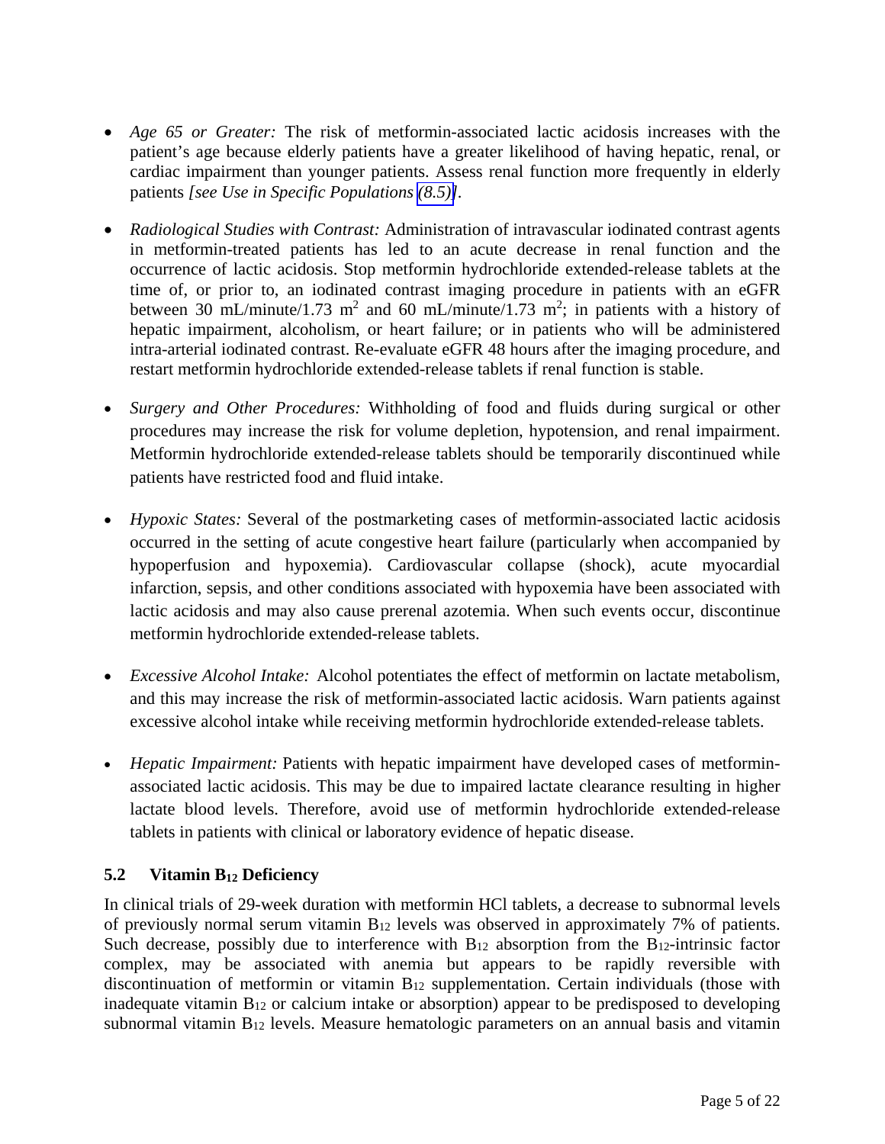- <span id="page-4-0"></span> *Age 65 or Greater:* The risk of metformin-associated lactic acidosis increases with the patient's age because elderly patients have a greater likelihood of having hepatic, renal, or cardiac impairment than younger patients. Assess renal function more frequently in elderly patients *[see Use in Specific Populations [\(8.5\)\]](#page-9-0).*
- *Radiological Studies with Contrast:* Administration of intravascular iodinated contrast agents in metformin-treated patients has led to an acute decrease in renal function and the occurrence of lactic acidosis. Stop metformin hydrochloride extended-release tablets at the time of, or prior to, an iodinated contrast imaging procedure in patients with an eGFR between 30 mL/minute/1.73 m<sup>2</sup> and 60 mL/minute/1.73 m<sup>2</sup>; in patients with a history of hepatic impairment, alcoholism, or heart failure; or in patients who will be administered intra-arterial iodinated contrast. Re-evaluate eGFR 48 hours after the imaging procedure, and restart metformin hydrochloride extended-release tablets if renal function is stable.
- *Surgery and Other Procedures:* Withholding of food and fluids during surgical or other procedures may increase the risk for volume depletion, hypotension, and renal impairment. Metformin hydrochloride extended-release tablets should be temporarily discontinued while patients have restricted food and fluid intake.
- *Hypoxic States:* Several of the postmarketing cases of metformin-associated lactic acidosis occurred in the setting of acute congestive heart failure (particularly when accompanied by hypoperfusion and hypoxemia). Cardiovascular collapse (shock), acute myocardial infarction, sepsis, and other conditions associated with hypoxemia have been associated with lactic acidosis and may also cause prerenal azotemia. When such events occur, discontinue metformin hydrochloride extended-release tablets.
- *Excessive Alcohol Intake:* Alcohol potentiates the effect of metformin on lactate metabolism, and this may increase the risk of metformin-associated lactic acidosis. Warn patients against excessive alcohol intake while receiving metformin hydrochloride extended-release tablets.
- *Hepatic Impairment:* Patients with hepatic impairment have developed cases of metforminassociated lactic acidosis. This may be due to impaired lactate clearance resulting in higher lactate blood levels. Therefore, avoid use of metformin hydrochloride extended-release tablets in patients with clinical or laboratory evidence of hepatic disease.

## **5.2 Vitamin B12 Deficiency**

In clinical trials of 29-week duration with metformin HCl tablets, a decrease to subnormal levels of previously normal serum vitamin B12 levels was observed in approximately 7% of patients. Such decrease, possibly due to interference with  $B_{12}$  absorption from the  $B_{12}$ -intrinsic factor complex, may be associated with anemia but appears to be rapidly reversible with discontinuation of metformin or vitamin B12 supplementation. Certain individuals (those with inadequate vitamin B12 or calcium intake or absorption) appear to be predisposed to developing subnormal vitamin B12 levels. Measure hematologic parameters on an annual basis and vitamin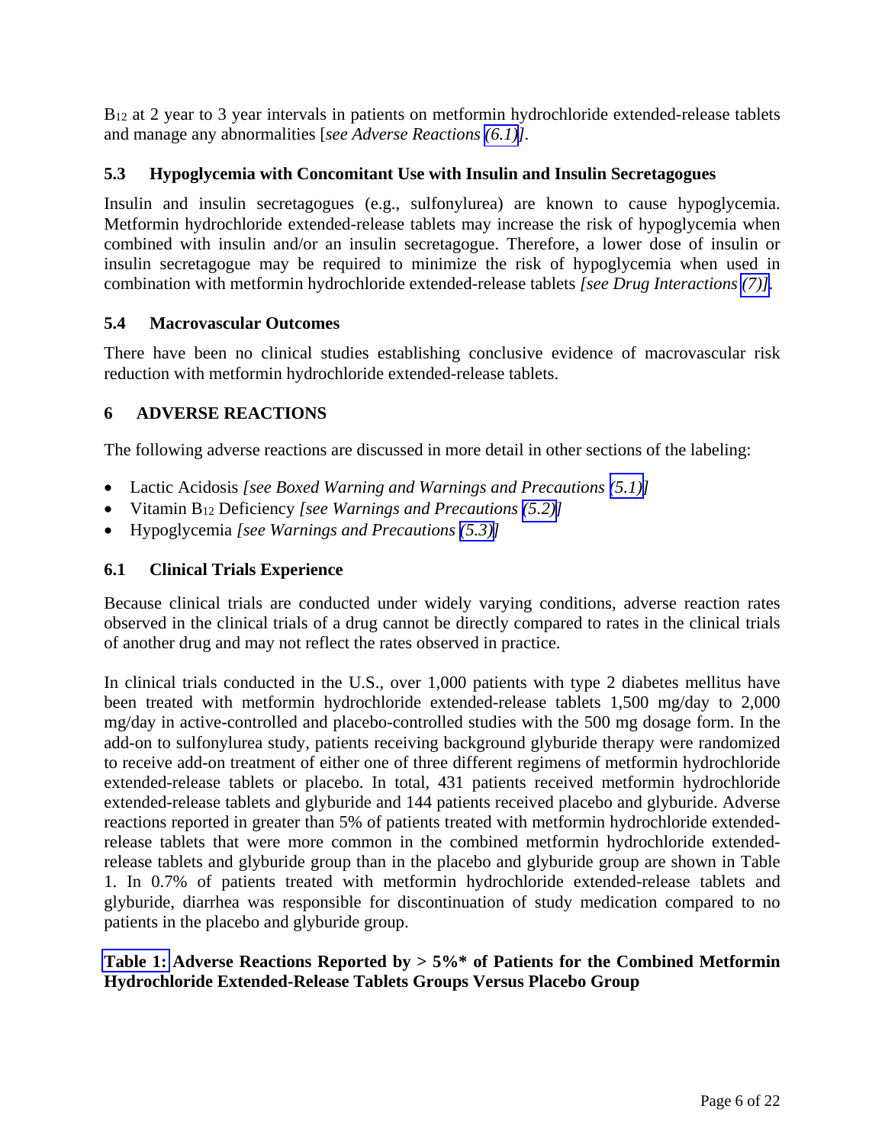<span id="page-5-0"></span>B<sub>12</sub> at 2 year to 3 year intervals in patients on metformin hydrochloride extended-release tablets and manage any abnormalities [*see Adverse Reactions [\(6.1\)](#page-5-0)].*

#### **5.3 Hypoglycemia with Concomitant Use with Insulin and Insulin Secretagogues**

Insulin and insulin secretagogues (e.g., sulfonylurea) are known to cause hypoglycemia. Metformin hydrochloride extended-release tablets may increase the risk of hypoglycemia when combined with insulin and/or an insulin secretagogue. Therefore, a lower dose of insulin or insulin secretagogue may be required to minimize the risk of hypoglycemia when used in combination with metformin hydrochloride extended-release tablets *[see Drug Interactions [\(7\)\]](#page-6-0).* 

#### **5.4 Macrovascular Outcomes**

There have been no clinical studies establishing conclusive evidence of macrovascular risk reduction with metformin hydrochloride extended-release tablets.

#### **6 ADVERSE REACTIONS**

The following adverse reactions are discussed in more detail in other sections of the labeling:

- Lactic Acidosis *[see Boxed Warning and Warnings and Precautions [\(5.1\)\]](#page-2-0)*
- Vitamin B12 Deficiency *[see Warnings and Precautions [\(5.2\)\]](#page-4-0)*
- Hypoglycemia *[see Warnings and Precautions [\(5.3\)\]](#page-5-0)*

#### **6.1 Clinical Trials Experience**

Because clinical trials are conducted under widely varying conditions, adverse reaction rates observed in the clinical trials of a drug cannot be directly compared to rates in the clinical trials of another drug and may not reflect the rates observed in practice.

In clinical trials conducted in the U.S., over 1,000 patients with type 2 diabetes mellitus have been treated with metformin hydrochloride extended-release tablets 1,500 mg/day to 2,000 mg/day in active-controlled and placebo-controlled studies with the 500 mg dosage form. In the add-on to sulfonylurea study, patients receiving background glyburide therapy were randomized to receive add-on treatment of either one of three different regimens of metformin hydrochloride extended-release tablets or placebo. In total, 431 patients received metformin hydrochloride extended-release tablets and glyburide and 144 patients received placebo and glyburide. Adverse reactions reported in greater than 5% of patients treated with metformin hydrochloride extendedrelease tablets that were more common in the combined metformin hydrochloride extendedrelease tablets and glyburide group than in the placebo and glyburide group are shown in Table 1. In 0.7% of patients treated with metformin hydrochloride extended-release tablets and glyburide, diarrhea was responsible for discontinuation of study medication compared to no patients in the placebo and glyburide group.

## **[Table 1:](#page-6-1) Adverse Reactions Reported by > 5%\* of Patients for the Combined Metformin Hydrochloride Extended-Release Tablets Groups Versus Placebo Group**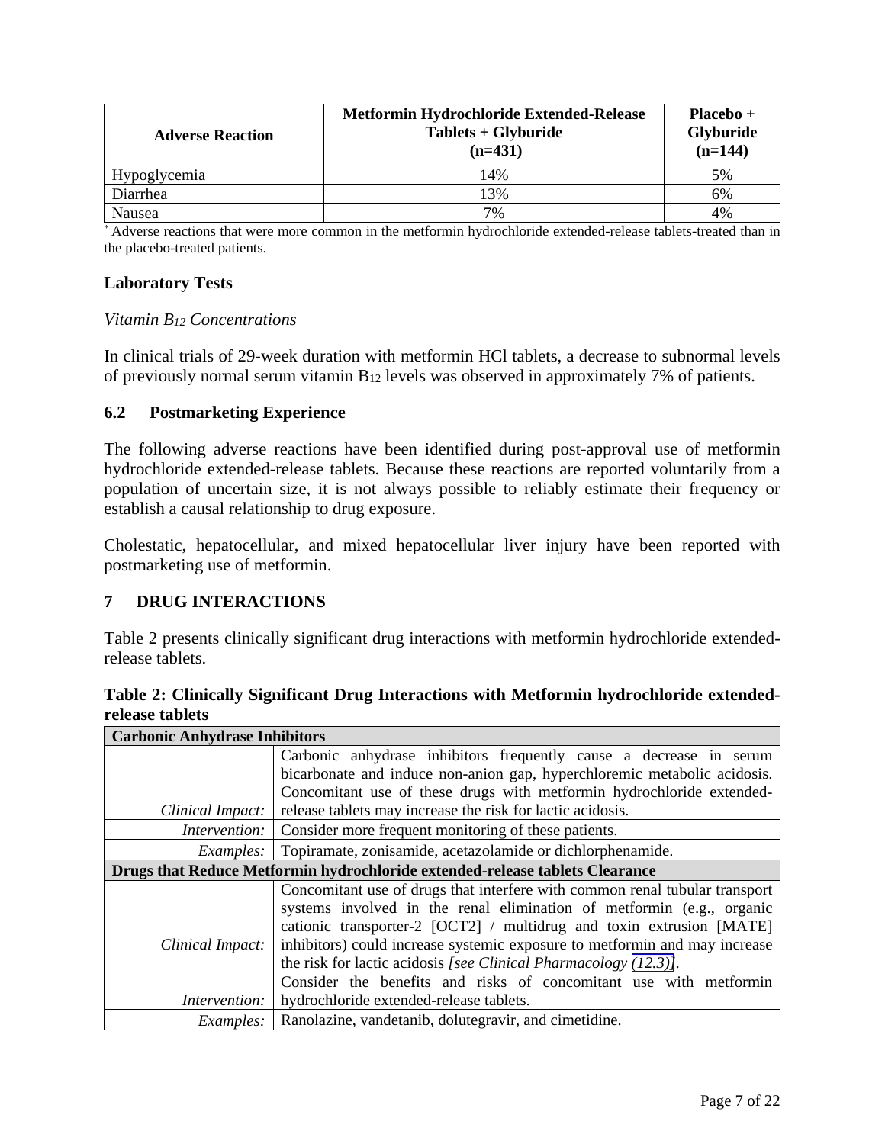<span id="page-6-1"></span><span id="page-6-0"></span>

| <b>Adverse Reaction</b> | Metformin Hydrochloride Extended-Release<br>Tablets + Glyburide<br>$(n=431)$ | $Placebo +$<br><b>Glyburide</b><br>$(n=144)$ |
|-------------------------|------------------------------------------------------------------------------|----------------------------------------------|
| <b>Hypoglycemia</b>     | 14%                                                                          | 5%                                           |
| Diarrhea                | 13%                                                                          | 6%                                           |
| Nausea                  | 7%                                                                           | 4%                                           |

\* Adverse reactions that were more common in the metformin hydrochloride extended-release tablets-treated than in the placebo-treated patients.

#### **Laboratory Tests**

#### *Vitamin B12 Concentrations*

In clinical trials of 29-week duration with metformin HCl tablets, a decrease to subnormal levels of previously normal serum vitamin B12 levels was observed in approximately 7% of patients.

#### **6.2 Postmarketing Experience**

The following adverse reactions have been identified during post-approval use of metformin hydrochloride extended-release tablets. Because these reactions are reported voluntarily from a population of uncertain size, it is not always possible to reliably estimate their frequency or establish a causal relationship to drug exposure.

Cholestatic, hepatocellular, and mixed hepatocellular liver injury have been reported with postmarketing use of metformin.

#### **7 DRUG INTERACTIONS**

Table 2 presents clinically significant drug interactions with metformin hydrochloride extendedrelease tablets.

**Table 2: Clinically Significant Drug Interactions with Metformin hydrochloride extendedrelease tablets** 

| <b>Carbonic Anhydrase Inhibitors</b> |                                                                              |  |  |
|--------------------------------------|------------------------------------------------------------------------------|--|--|
|                                      | Carbonic anhydrase inhibitors frequently cause a decrease in serum           |  |  |
|                                      | bicarbonate and induce non-anion gap, hyperchloremic metabolic acidosis.     |  |  |
|                                      | Concomitant use of these drugs with metformin hydrochloride extended-        |  |  |
| Clinical Impact:                     | release tablets may increase the risk for lactic acidosis.                   |  |  |
| Intervention:                        | Consider more frequent monitoring of these patients.                         |  |  |
| <i>Examples:</i>                     | Topiramate, zonisamide, acetazolamide or dichlorphenamide.                   |  |  |
|                                      | Drugs that Reduce Metformin hydrochloride extended-release tablets Clearance |  |  |
|                                      |                                                                              |  |  |
|                                      | Concomitant use of drugs that interfere with common renal tubular transport  |  |  |
|                                      | systems involved in the renal elimination of metformin (e.g., organic        |  |  |
|                                      | cationic transporter-2 [OCT2] / multidrug and toxin extrusion [MATE]         |  |  |
| Clinical Impact:                     | inhibitors) could increase systemic exposure to metformin and may increase   |  |  |
|                                      | the risk for lactic acidosis [see Clinical Pharmacology $(12.3)$ ].          |  |  |
|                                      | Consider the benefits and risks of concomitant use with metformin            |  |  |
| Intervention:                        | hydrochloride extended-release tablets.                                      |  |  |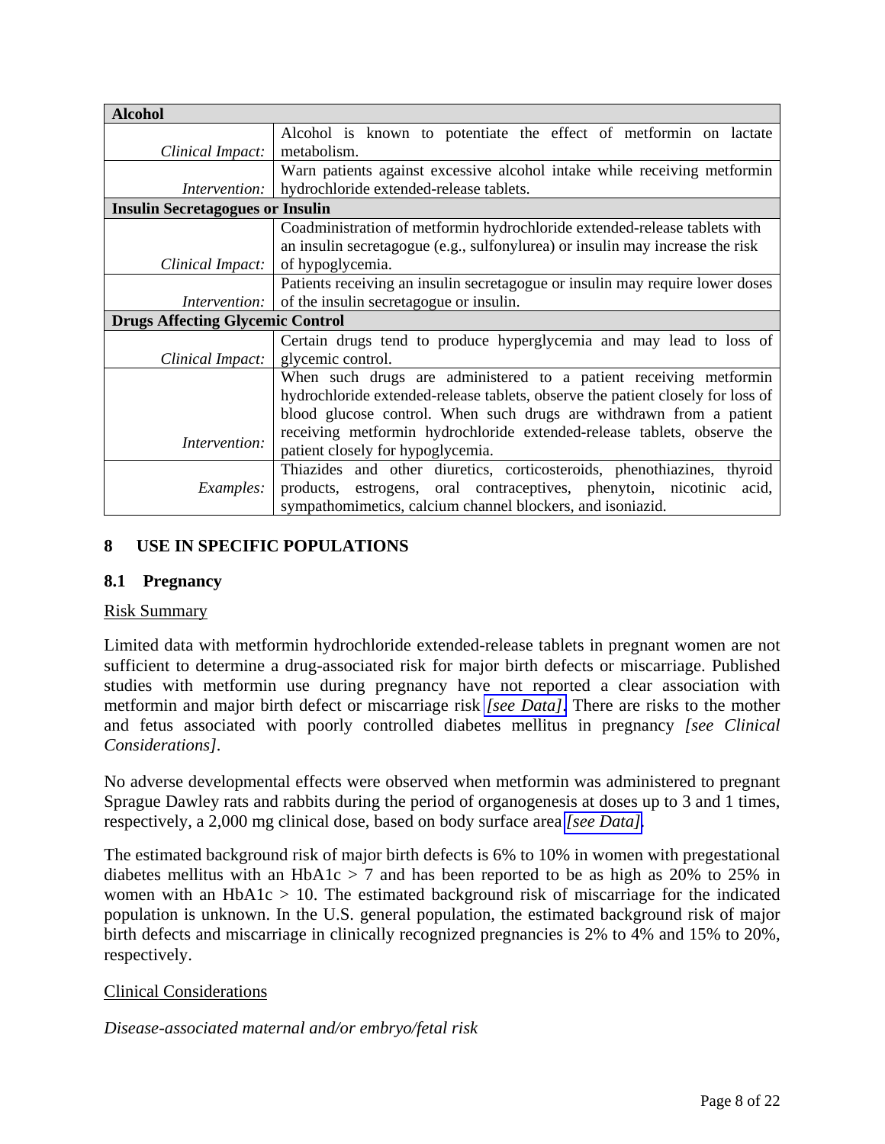<span id="page-7-0"></span>

| <b>Alcohol</b>                          |                                                                                 |
|-----------------------------------------|---------------------------------------------------------------------------------|
|                                         | Alcohol is known to potentiate the effect of metformin on lactate               |
| Clinical Impact:                        | metabolism.                                                                     |
|                                         | Warn patients against excessive alcohol intake while receiving metformin        |
| Intervention:                           | hydrochloride extended-release tablets.                                         |
| <b>Insulin Secretagogues or Insulin</b> |                                                                                 |
|                                         | Coadministration of metformin hydrochloride extended-release tablets with       |
|                                         | an insulin secretagogue (e.g., sulfonylurea) or insulin may increase the risk   |
| Clinical Impact:                        | of hypoglycemia.                                                                |
|                                         | Patients receiving an insulin secretagogue or insulin may require lower doses   |
| Intervention:                           | of the insulin secretagogue or insulin.                                         |
| <b>Drugs Affecting Glycemic Control</b> |                                                                                 |
|                                         | Certain drugs tend to produce hyperglycemia and may lead to loss of             |
| Clinical Impact:                        | glycemic control.                                                               |
|                                         | When such drugs are administered to a patient receiving metformin               |
|                                         | hydrochloride extended-release tablets, observe the patient closely for loss of |
|                                         | blood glucose control. When such drugs are withdrawn from a patient             |
|                                         | receiving metformin hydrochloride extended-release tablets, observe the         |
| Intervention:                           | patient closely for hypoglycemia.                                               |
|                                         | Thiazides and other diuretics, corticosteroids, phenothiazines, thyroid         |
| <i>Examples:</i>                        | products, estrogens, oral contraceptives, phenytoin, nicotinic<br>acid,         |
|                                         | sympathomimetics, calcium channel blockers, and isoniazid.                      |

## **8 USE IN SPECIFIC POPULATIONS**

## **8.1 Pregnancy**

#### Risk Summary

Limited data with metformin hydrochloride extended-release tablets in pregnant women are not sufficient to determine a drug-associated risk for major birth defects or miscarriage. Published studies with metformin use during pregnancy have not reported a clear association with metformin and major birth defect or miscarriage risk *[\[see Data\]](#page-8-0)*. There are risks to the mother and fetus associated with poorly controlled diabetes mellitus in pregnancy *[see Clinical Considerations].*

No adverse developmental effects were observed when metformin was administered to pregnant Sprague Dawley rats and rabbits during the period of organogenesis at doses up to 3 and 1 times, respectively, a 2,000 mg clinical dose, based on body surface area *[\[see Data\].](#page-8-0)* 

The estimated background risk of major birth defects is 6% to 10% in women with pregestational diabetes mellitus with an HbA1c  $> 7$  and has been reported to be as high as 20% to 25% in women with an  $HbA1c > 10$ . The estimated background risk of miscarriage for the indicated population is unknown. In the U.S. general population, the estimated background risk of major birth defects and miscarriage in clinically recognized pregnancies is 2% to 4% and 15% to 20%, respectively.

#### Clinical Considerations

## *Disease-associated maternal and/or embryo/fetal risk*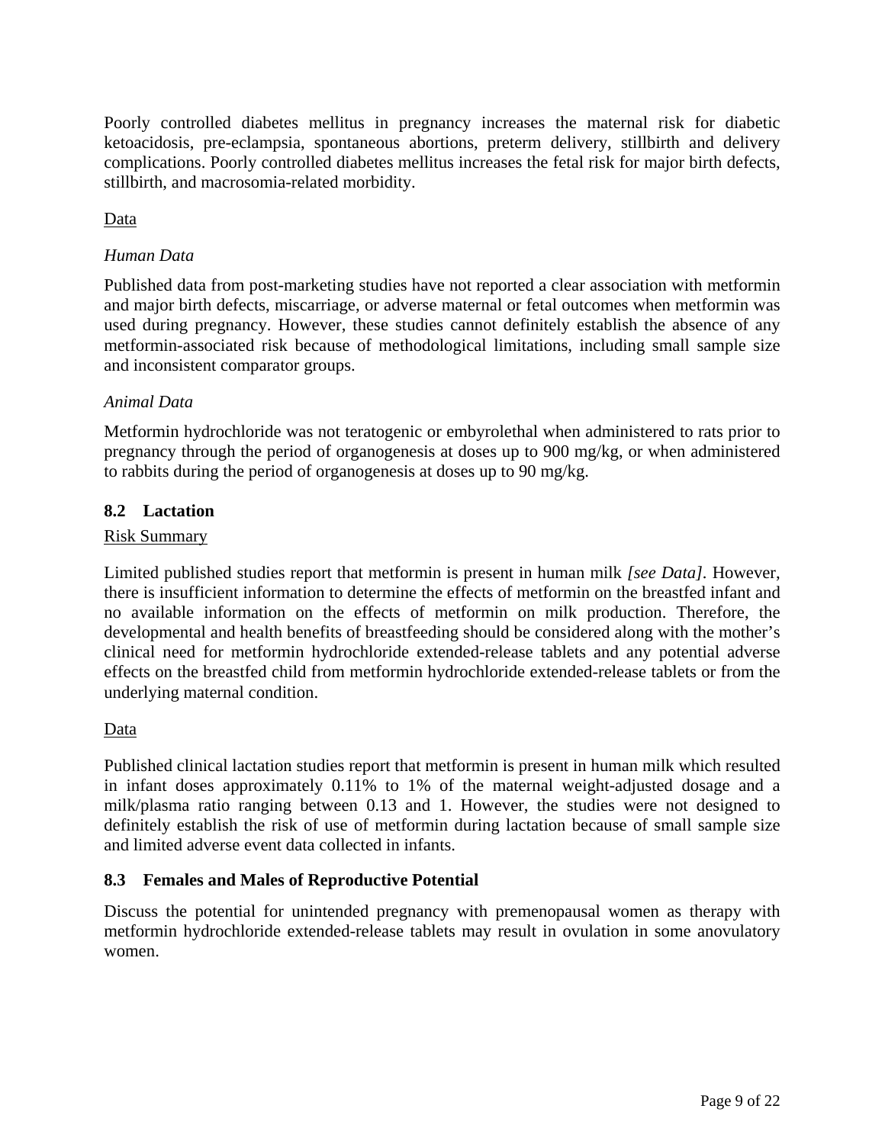<span id="page-8-0"></span>Poorly controlled diabetes mellitus in pregnancy increases the maternal risk for diabetic ketoacidosis, pre-eclampsia, spontaneous abortions, preterm delivery, stillbirth and delivery complications. Poorly controlled diabetes mellitus increases the fetal risk for major birth defects, stillbirth, and macrosomia-related morbidity.

## Data

#### *Human Data*

Published data from post-marketing studies have not reported a clear association with metformin and major birth defects, miscarriage, or adverse maternal or fetal outcomes when metformin was used during pregnancy. However, these studies cannot definitely establish the absence of any metformin-associated risk because of methodological limitations, including small sample size and inconsistent comparator groups.

#### *Animal Data*

Metformin hydrochloride was not teratogenic or embyrolethal when administered to rats prior to pregnancy through the period of organogenesis at doses up to 900 mg/kg, or when administered to rabbits during the period of organogenesis at doses up to 90 mg/kg.

#### **8.2 Lactation**

#### Risk Summary

Limited published studies report that metformin is present in human milk *[see Data].* However, there is insufficient information to determine the effects of metformin on the breastfed infant and no available information on the effects of metformin on milk production. Therefore, the developmental and health benefits of breastfeeding should be considered along with the mother's clinical need for metformin hydrochloride extended-release tablets and any potential adverse effects on the breastfed child from metformin hydrochloride extended-release tablets or from the underlying maternal condition.

#### Data

Published clinical lactation studies report that metformin is present in human milk which resulted in infant doses approximately 0.11% to 1% of the maternal weight-adjusted dosage and a milk/plasma ratio ranging between 0.13 and 1. However, the studies were not designed to definitely establish the risk of use of metformin during lactation because of small sample size and limited adverse event data collected in infants.

## **8.3 Females and Males of Reproductive Potential**

Discuss the potential for unintended pregnancy with premenopausal women as therapy with metformin hydrochloride extended-release tablets may result in ovulation in some anovulatory women.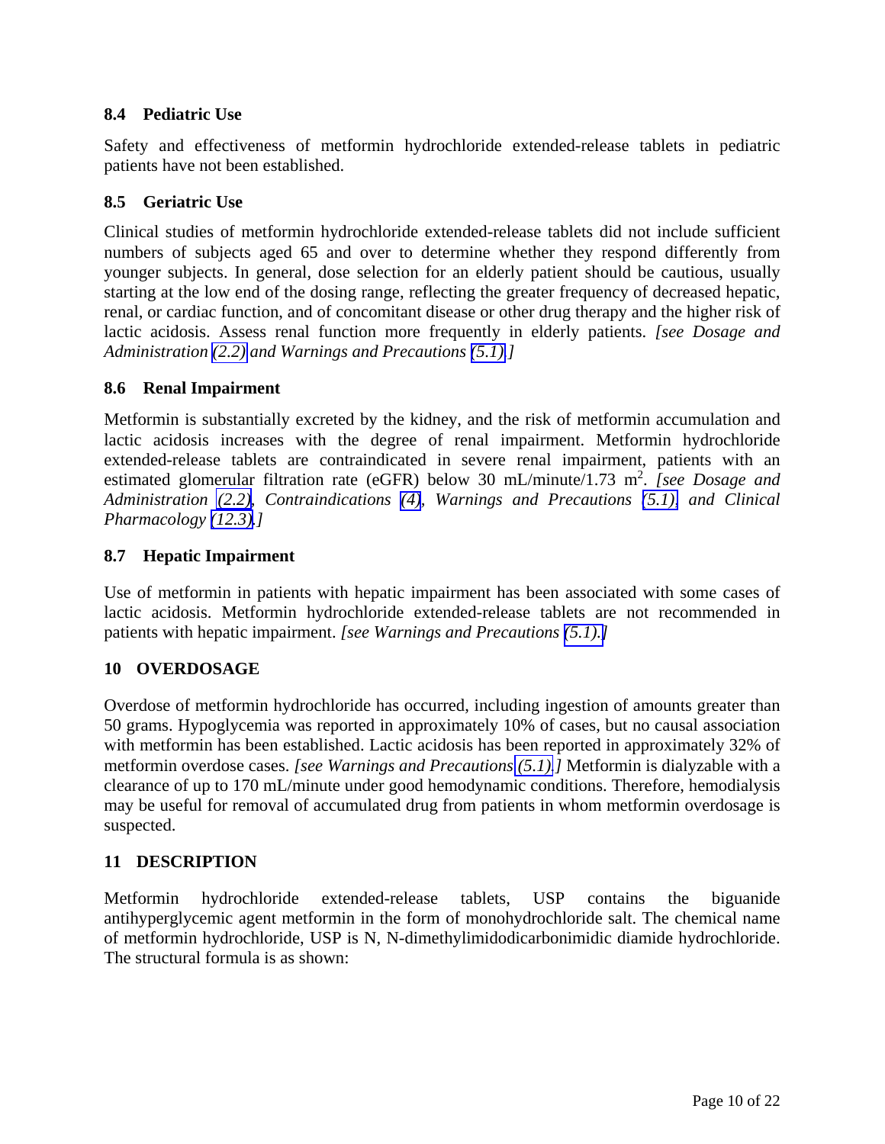#### <span id="page-9-0"></span>**8.4 Pediatric Use**

Safety and effectiveness of metformin hydrochloride extended-release tablets in pediatric patients have not been established.

#### **8.5 Geriatric Use**

Clinical studies of metformin hydrochloride extended-release tablets did not include sufficient numbers of subjects aged 65 and over to determine whether they respond differently from younger subjects. In general, dose selection for an elderly patient should be cautious, usually starting at the low end of the dosing range, reflecting the greater frequency of decreased hepatic, renal, or cardiac function, and of concomitant disease or other drug therapy and the higher risk of lactic acidosis. Assess renal function more frequently in elderly patients. *[see Dosage and Administration [\(2.2\)](#page-1-0) and Warnings and Precautions [\(5.1\).](#page-2-0)]* 

#### **8.6 Renal Impairment**

Metformin is substantially excreted by the kidney, and the risk of metformin accumulation and lactic acidosis increases with the degree of renal impairment. Metformin hydrochloride extended-release tablets are contraindicated in severe renal impairment, patients with an estimated glomerular filtration rate (eGFR) below 30 mL/minute/1.73 m<sup>2</sup>. [see Dosage and *Administration [\(2.2\),](#page-1-0) Contraindications [\(4\)](#page-2-0), Warnings and Precautions [\(5.1\),](#page-2-0) and Clinical Pharmacology [\(12.3\).](#page-10-0)]* 

#### **8.7 Hepatic Impairment**

Use of metformin in patients with hepatic impairment has been associated with some cases of lactic acidosis. Metformin hydrochloride extended-release tablets are not recommended in patients with hepatic impairment. *[see Warnings and Precautions [\(5.1\).\]](#page-2-0)* 

#### **10 OVERDOSAGE**

Overdose of metformin hydrochloride has occurred, including ingestion of amounts greater than 50 grams. Hypoglycemia was reported in approximately 10% of cases, but no causal association with metformin has been established. Lactic acidosis has been reported in approximately 32% of metformin overdose cases. *[see Warnings and Precautions [\(5.1\).](#page-2-0)]* Metformin is dialyzable with a clearance of up to 170 mL/minute under good hemodynamic conditions. Therefore, hemodialysis may be useful for removal of accumulated drug from patients in whom metformin overdosage is suspected.

#### **11 DESCRIPTION**

Metformin hydrochloride extended-release tablets, USP contains the biguanide antihyperglycemic agent metformin in the form of monohydrochloride salt. The chemical name of metformin hydrochloride, USP is N, N-dimethylimidodicarbonimidic diamide hydrochloride. The structural formula is as shown: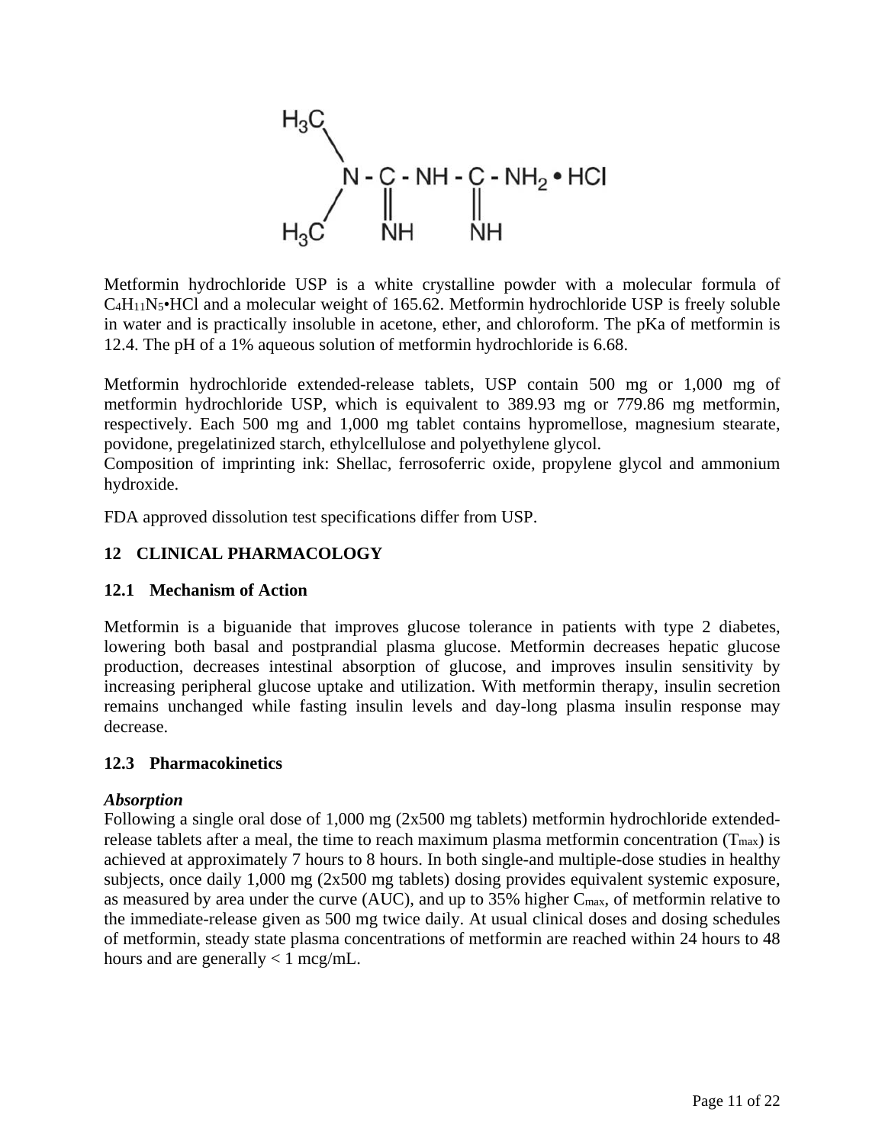<span id="page-10-0"></span>
$$
H_3C
$$
\n
$$
N - C - NH - C - NH_2 \cdot HCl
$$
\n
$$
H_3C
$$
\n
$$
N + \frac{1}{N}H
$$
\n
$$
N + \frac{1}{N+1}
$$

Metformin hydrochloride USP is a white crystalline powder with a molecular formula of C4H11N5•HCl and a molecular weight of 165.62. Metformin hydrochloride USP is freely soluble in water and is practically insoluble in acetone, ether, and chloroform. The pKa of metformin is 12.4. The pH of a 1% aqueous solution of metformin hydrochloride is 6.68.

Metformin hydrochloride extended-release tablets, USP contain 500 mg or 1,000 mg of metformin hydrochloride USP, which is equivalent to 389.93 mg or 779.86 mg metformin, respectively. Each 500 mg and 1,000 mg tablet contains hypromellose, magnesium stearate, povidone, pregelatinized starch, ethylcellulose and polyethylene glycol.

Composition of imprinting ink: Shellac, ferrosoferric oxide, propylene glycol and ammonium hydroxide.

FDA approved dissolution test specifications differ from USP.

## **12 CLINICAL PHARMACOLOGY**

## **12.1 Mechanism of Action**

Metformin is a biguanide that improves glucose tolerance in patients with type 2 diabetes, lowering both basal and postprandial plasma glucose. Metformin decreases hepatic glucose production, decreases intestinal absorption of glucose, and improves insulin sensitivity by increasing peripheral glucose uptake and utilization. With metformin therapy, insulin secretion remains unchanged while fasting insulin levels and day-long plasma insulin response may decrease.

## **12.3 Pharmacokinetics**

## *Absorption*

Following a single oral dose of 1,000 mg (2x500 mg tablets) metformin hydrochloride extendedrelease tablets after a meal, the time to reach maximum plasma metformin concentration  $(T_{max})$  is achieved at approximately 7 hours to 8 hours. In both single-and multiple-dose studies in healthy subjects, once daily 1,000 mg (2x500 mg tablets) dosing provides equivalent systemic exposure, as measured by area under the curve (AUC), and up to 35% higher Cmax, of metformin relative to the immediate-release given as 500 mg twice daily. At usual clinical doses and dosing schedules of metformin, steady state plasma concentrations of metformin are reached within 24 hours to 48 hours and are generally  $< 1$  mcg/mL.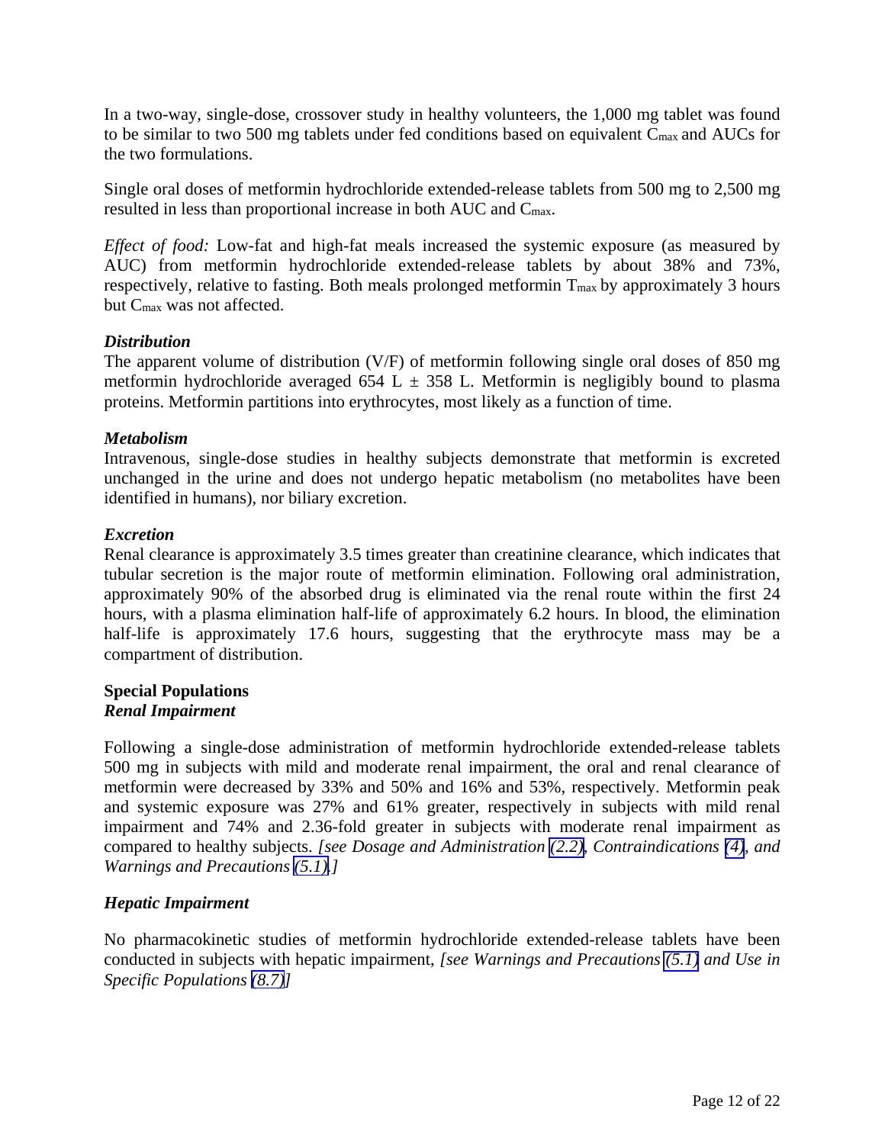In a two-way, single-dose, crossover study in healthy volunteers, the 1,000 mg tablet was found to be similar to two 500 mg tablets under fed conditions based on equivalent Cmax and AUCs for the two formulations.

Single oral doses of metformin hydrochloride extended-release tablets from 500 mg to 2,500 mg resulted in less than proportional increase in both AUC and Cmax.

*Effect of food:* Low-fat and high-fat meals increased the systemic exposure (as measured by AUC) from metformin hydrochloride extended-release tablets by about 38% and 73%, respectively, relative to fasting. Both meals prolonged metformin  $T_{\text{max}}$  by approximately 3 hours but Cmax was not affected.

#### *Distribution*

The apparent volume of distribution (V/F) of metformin following single oral doses of 850 mg metformin hydrochloride averaged 654 L  $\pm$  358 L. Metformin is negligibly bound to plasma proteins. Metformin partitions into erythrocytes, most likely as a function of time.

#### *Metabolism*

Intravenous, single-dose studies in healthy subjects demonstrate that metformin is excreted unchanged in the urine and does not undergo hepatic metabolism (no metabolites have been identified in humans), nor biliary excretion.

#### *Excretion*

Renal clearance is approximately 3.5 times greater than creatinine clearance, which indicates that tubular secretion is the major route of metformin elimination. Following oral administration, approximately 90% of the absorbed drug is eliminated via the renal route within the first 24 hours, with a plasma elimination half-life of approximately 6.2 hours. In blood, the elimination half-life is approximately 17.6 hours, suggesting that the erythrocyte mass may be a compartment of distribution.

#### **Special Populations**  *Renal Impairment*

Following a single-dose administration of metformin hydrochloride extended-release tablets 500 mg in subjects with mild and moderate renal impairment, the oral and renal clearance of metformin were decreased by 33% and 50% and 16% and 53%, respectively. Metformin peak and systemic exposure was 27% and 61% greater, respectively in subjects with mild renal impairment and 74% and 2.36-fold greater in subjects with moderate renal impairment as compared to healthy subjects. *[see Dosage and Administration [\(2.2\),](#page-1-0) Contraindications [\(4\)](#page-2-0), and Warnings and Precautions [\(5.1\).](#page-2-0)]* 

## *Hepatic Impairment*

No pharmacokinetic studies of metformin hydrochloride extended-release tablets have been conducted in subjects with hepatic impairment, *[see Warnings and Precautions [\(5.1\)](#page-2-0) and Use in Specific Populations [\(8.7\)\]](#page-9-0)*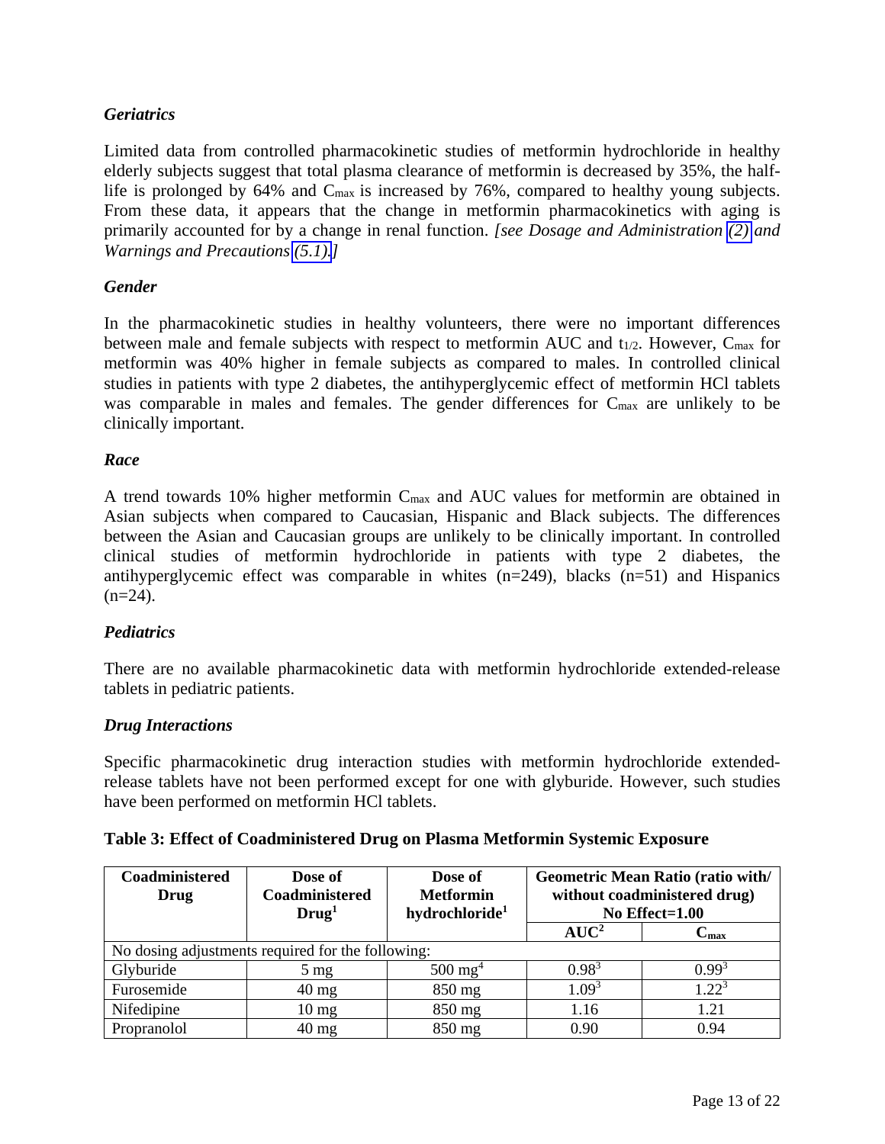## *Geriatrics*

Limited data from controlled pharmacokinetic studies of metformin hydrochloride in healthy elderly subjects suggest that total plasma clearance of metformin is decreased by 35%, the halflife is prolonged by 64% and Cmax is increased by 76%, compared to healthy young subjects. From these data, it appears that the change in metformin pharmacokinetics with aging is primarily accounted for by a change in renal function. *[see Dosage and Administration [\(2\)](#page-1-0) and Warnings and Precautions [\(5.1\).](#page-2-0)]* 

## *Gender*

In the pharmacokinetic studies in healthy volunteers, there were no important differences between male and female subjects with respect to metformin AUC and t<sub>1/2</sub>. However, C<sub>max</sub> for metformin was 40% higher in female subjects as compared to males. In controlled clinical studies in patients with type 2 diabetes, the antihyperglycemic effect of metformin HCl tablets was comparable in males and females. The gender differences for C<sub>max</sub> are unlikely to be clinically important.

## *Race*

A trend towards 10% higher metformin Cmax and AUC values for metformin are obtained in Asian subjects when compared to Caucasian, Hispanic and Black subjects. The differences between the Asian and Caucasian groups are unlikely to be clinically important. In controlled clinical studies of metformin hydrochloride in patients with type 2 diabetes, the antihyperglycemic effect was comparable in whites (n=249), blacks (n=51) and Hispanics  $(n=24)$ .

## *Pediatrics*

There are no available pharmacokinetic data with metformin hydrochloride extended-release tablets in pediatric patients.

## *Drug Interactions*

Specific pharmacokinetic drug interaction studies with metformin hydrochloride extendedrelease tablets have not been performed except for one with glyburide. However, such studies have been performed on metformin HCl tablets.

| Coadministered<br>Drug                            | Dose of<br>Coadministered | Dose of<br><b>Metformin</b> |                   | Geometric Mean Ratio (ratio with/<br>without coadministered drug) |
|---------------------------------------------------|---------------------------|-----------------------------|-------------------|-------------------------------------------------------------------|
|                                                   | Drug <sup>1</sup>         | hydrochloride <sup>1</sup>  |                   | No Effect= $1.00$                                                 |
|                                                   |                           |                             | $AUC^2$           | $\mathbf{C_{max}}$                                                |
| No dosing adjustments required for the following: |                           |                             |                   |                                                                   |
| Glyburide                                         | $5 \text{ mg}$            | $500 \text{ mg}^4$          | $0.98^{3}$        | $0.99^{3}$                                                        |
| Furosemide                                        | $40 \text{ mg}$           | 850 mg                      | 1.09 <sup>3</sup> | $1.22^{3}$                                                        |
| Nifedipine                                        | $10 \text{ mg}$           | 850 mg                      | 1.16              | 1.21                                                              |
| Propranolol                                       | $40 \text{ mg}$           | 850 mg                      | 0.90              | 0.94                                                              |

## **Table 3: Effect of Coadministered Drug on Plasma Metformin Systemic Exposure**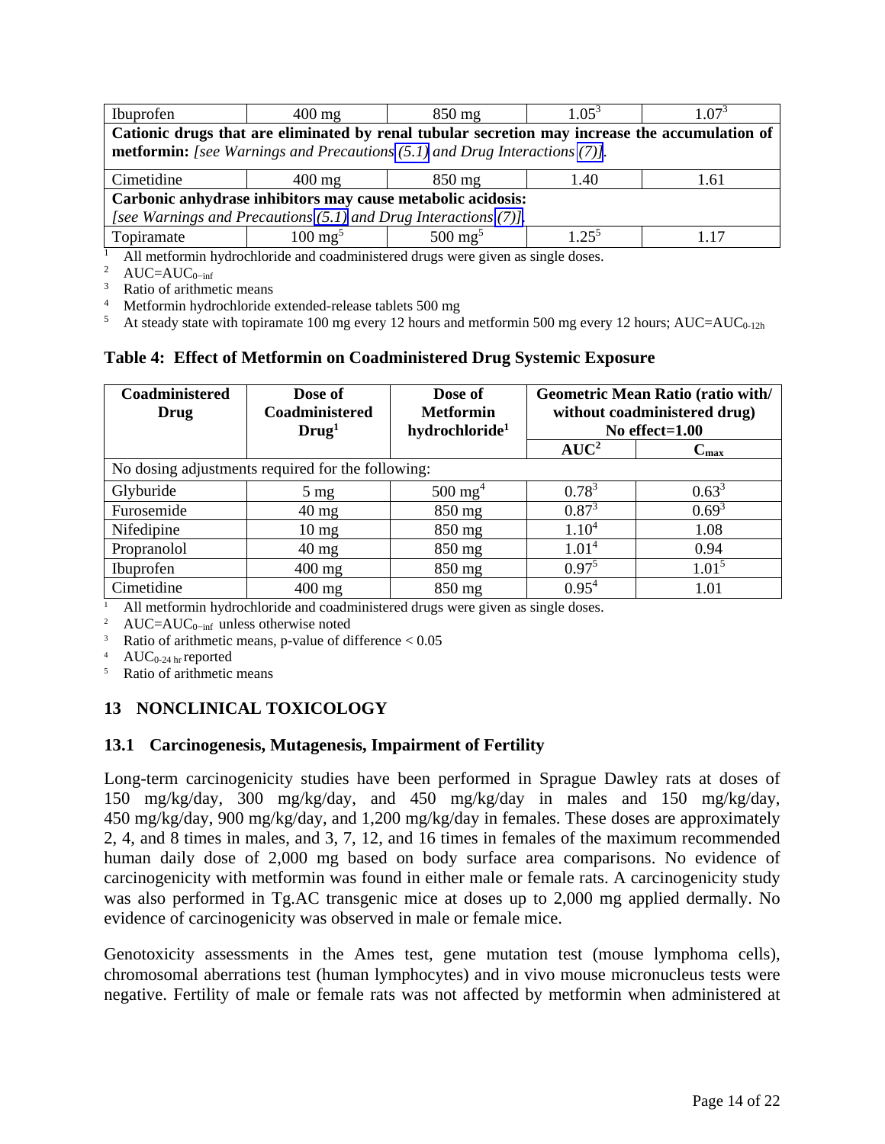<span id="page-13-0"></span>

| Ibuprofen                                                            | $400 \text{ mg}$                                                                               | $850 \text{ mg}$   | $1.05^3$   | $1.07^{3}$ |  |
|----------------------------------------------------------------------|------------------------------------------------------------------------------------------------|--------------------|------------|------------|--|
|                                                                      | Cationic drugs that are eliminated by renal tubular secretion may increase the accumulation of |                    |            |            |  |
|                                                                      | <b>metformin:</b> [see Warnings and Precautions $(5.1)$ and Drug Interactions $(7)$ ].         |                    |            |            |  |
| Cimetidine                                                           | $400 \text{ mg}$                                                                               | $850 \text{ mg}$   | 1.40       | 1.61       |  |
| Carbonic anhydrase inhibitors may cause metabolic acidosis:          |                                                                                                |                    |            |            |  |
| [see Warnings and Precautions $(5.1)$ and Drug Interactions $(7)$ ]. |                                                                                                |                    |            |            |  |
| Topiramate                                                           | $100 \text{ mg}^5$                                                                             | $500 \text{ mg}^5$ | $1.25^{5}$ | 117        |  |

1 All metformin hydrochloride and coadministered drugs were given as single doses.<br><sup>2</sup> AUC=AUC<sub>0</sub>−inf<br><sup>3</sup> Ratio of arithmetic means

<sup>4</sup> Metformin hydrochloride extended-release tablets 500 mg<br><sup>5</sup> At steady state with topiramate 100 mg every 12 hours and metformin 500 mg every 12 hours; AUC=AUC<sub>0-12h</sub>

#### **Table 4: Effect of Metformin on Coadministered Drug Systemic Exposure**

| Coadministered<br>Drug | Dose of<br>Coadministered<br>Drug <sup>1</sup>    | Dose of<br><b>Metformin</b><br>hydrochloride <sup>1</sup> | <b>Geometric Mean Ratio (ratio with/</b><br>without coadministered drug)<br>No effect= $1.00$ |                  |  |
|------------------------|---------------------------------------------------|-----------------------------------------------------------|-----------------------------------------------------------------------------------------------|------------------|--|
|                        |                                                   |                                                           | $AUC^2$                                                                                       | $C_{\text{max}}$ |  |
|                        | No dosing adjustments required for the following: |                                                           |                                                                                               |                  |  |
| Glyburide              | $5 \text{ mg}$                                    | $500 \text{ mg}^4$                                        | $0.78^{3}$                                                                                    | $0.63^{3}$       |  |
| Furosemide             | $40 \text{ mg}$                                   | $850$ mg                                                  | $0.87^{3}$                                                                                    | $0.69^{3}$       |  |
| Nifedipine             | $10 \text{ mg}$                                   | $850$ mg                                                  | 1.10 <sup>4</sup>                                                                             | 1.08             |  |
| Propranolol            | $40 \text{ mg}$                                   | $850$ mg                                                  | 1.01 <sup>4</sup>                                                                             | 0.94             |  |
| Ibuprofen              | $400 \text{ mg}$                                  | $850$ mg                                                  | $0.97^5$                                                                                      | $1.01^5$         |  |
| Cimetidine             | $400$ mg                                          | $850$ mg                                                  | $0.95^{4}$                                                                                    | 1.01             |  |

1.01 1 All metformin hydrochloride and coadministered drugs were given as single doses. 2 AUC=AUC0−inf unless otherwise noted

<sup>3</sup> Ratio of arithmetic means, p-value of difference  $< 0.05$ <br><sup>4</sup> AUC<sub>0-24 hr</sub> reported<br><sup>5</sup> Ratio of arithmetic means

## **13 NONCLINICAL TOXICOLOGY**

#### **13.1 Carcinogenesis, Mutagenesis, Impairment of Fertility**

Long-term carcinogenicity studies have been performed in Sprague Dawley rats at doses of 150 mg/kg/day, 300 mg/kg/day, and 450 mg/kg/day in males and 150 mg/kg/day, 450 mg/kg/day, 900 mg/kg/day, and 1,200 mg/kg/day in females. These doses are approximately 2, 4, and 8 times in males, and 3, 7, 12, and 16 times in females of the maximum recommended human daily dose of 2,000 mg based on body surface area comparisons. No evidence of carcinogenicity with metformin was found in either male or female rats. A carcinogenicity study was also performed in Tg.AC transgenic mice at doses up to 2,000 mg applied dermally. No evidence of carcinogenicity was observed in male or female mice.

Genotoxicity assessments in the Ames test, gene mutation test (mouse lymphoma cells), chromosomal aberrations test (human lymphocytes) and in vivo mouse micronucleus tests were negative. Fertility of male or female rats was not affected by metformin when administered at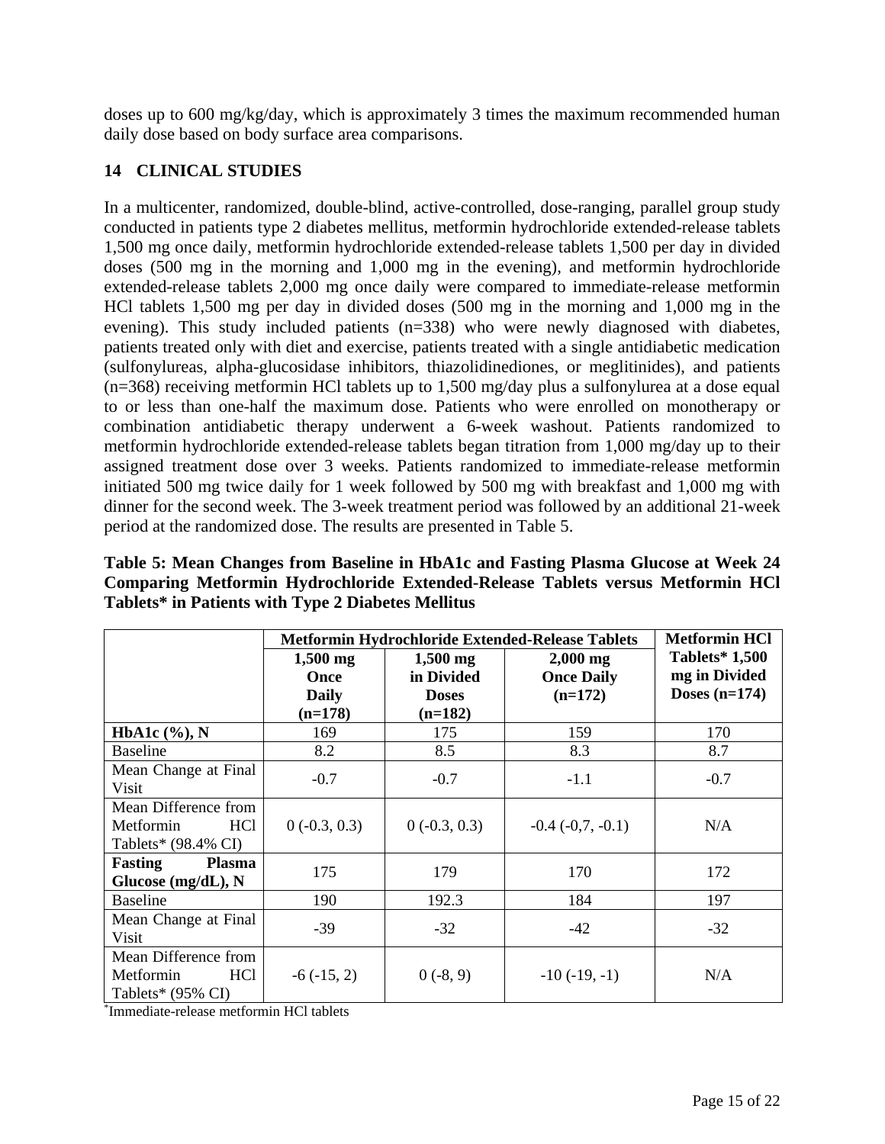<span id="page-14-0"></span>doses up to 600 mg/kg/day, which is approximately 3 times the maximum recommended human daily dose based on body surface area comparisons.

## **14 CLINICAL STUDIES**

In a multicenter, randomized, double-blind, active-controlled, dose-ranging, parallel group study conducted in patients type 2 diabetes mellitus, metformin hydrochloride extended-release tablets 1,500 mg once daily, metformin hydrochloride extended-release tablets 1,500 per day in divided doses (500 mg in the morning and 1,000 mg in the evening), and metformin hydrochloride extended-release tablets 2,000 mg once daily were compared to immediate-release metformin HCl tablets 1,500 mg per day in divided doses (500 mg in the morning and 1,000 mg in the evening). This study included patients (n=338) who were newly diagnosed with diabetes, patients treated only with diet and exercise, patients treated with a single antidiabetic medication (sulfonylureas, alpha-glucosidase inhibitors, thiazolidinediones, or meglitinides), and patients (n=368) receiving metformin HCl tablets up to 1,500 mg/day plus a sulfonylurea at a dose equal to or less than one-half the maximum dose. Patients who were enrolled on monotherapy or combination antidiabetic therapy underwent a 6-week washout. Patients randomized to metformin hydrochloride extended-release tablets began titration from 1,000 mg/day up to their assigned treatment dose over 3 weeks. Patients randomized to immediate-release metformin initiated 500 mg twice daily for 1 week followed by 500 mg with breakfast and 1,000 mg with dinner for the second week. The 3-week treatment period was followed by an additional 21-week period at the randomized dose. The results are presented in Table 5.

| Table 5: Mean Changes from Baseline in HbA1c and Fasting Plasma Glucose at Week 24 |
|------------------------------------------------------------------------------------|
| Comparing Metformin Hydrochloride Extended-Release Tablets versus Metformin HCl    |
| Tablets* in Patients with Type 2 Diabetes Mellitus                                 |

|                                                                                      | Metformin Hydrochloride Extended-Release Tablets |                |                       | <b>Metformin HCl</b>  |
|--------------------------------------------------------------------------------------|--------------------------------------------------|----------------|-----------------------|-----------------------|
|                                                                                      | $1,500$ mg                                       | $1,500$ mg     | $2,000$ mg            | <b>Tablets*</b> 1,500 |
|                                                                                      | Once                                             | in Divided     | <b>Once Daily</b>     | mg in Divided         |
|                                                                                      | <b>Daily</b>                                     | <b>Doses</b>   | $(n=172)$             | Doses $(n=174)$       |
|                                                                                      | $(n=178)$                                        | $(n=182)$      |                       |                       |
| HbA1c $(\%), N$                                                                      | 169                                              | 175            | 159                   | 170                   |
| <b>Baseline</b>                                                                      | 8.2                                              | 8.5            | 8.3                   | 8.7                   |
| Mean Change at Final<br>Visit                                                        | $-0.7$                                           | $-0.7$         | $-1.1$                | $-0.7$                |
| Mean Difference from<br>Metformin<br>HC <sub>1</sub><br>Tablets* (98.4% CI)          | $0(-0.3, 0.3)$                                   | $0(-0.3, 0.3)$ | $-0.4$ $(-0.7, -0.1)$ | N/A                   |
| Fasting<br><b>Plasma</b><br>Glucose (mg/dL), N                                       | 175                                              | 179            | 170                   | 172                   |
| <b>Baseline</b>                                                                      | 190                                              | 192.3          | 184                   | 197                   |
| Mean Change at Final<br>Visit                                                        | $-39$                                            | $-32$          | $-42$                 | $-32$                 |
| Mean Difference from<br>Metformin<br>HC <sub>1</sub><br>Tablets* $(95\% \text{ CI})$ | $-6(-15, 2)$                                     | $0(-8, 9)$     | $-10(-19,-1)$         | N/A                   |

\* Immediate-release metformin HCl tablets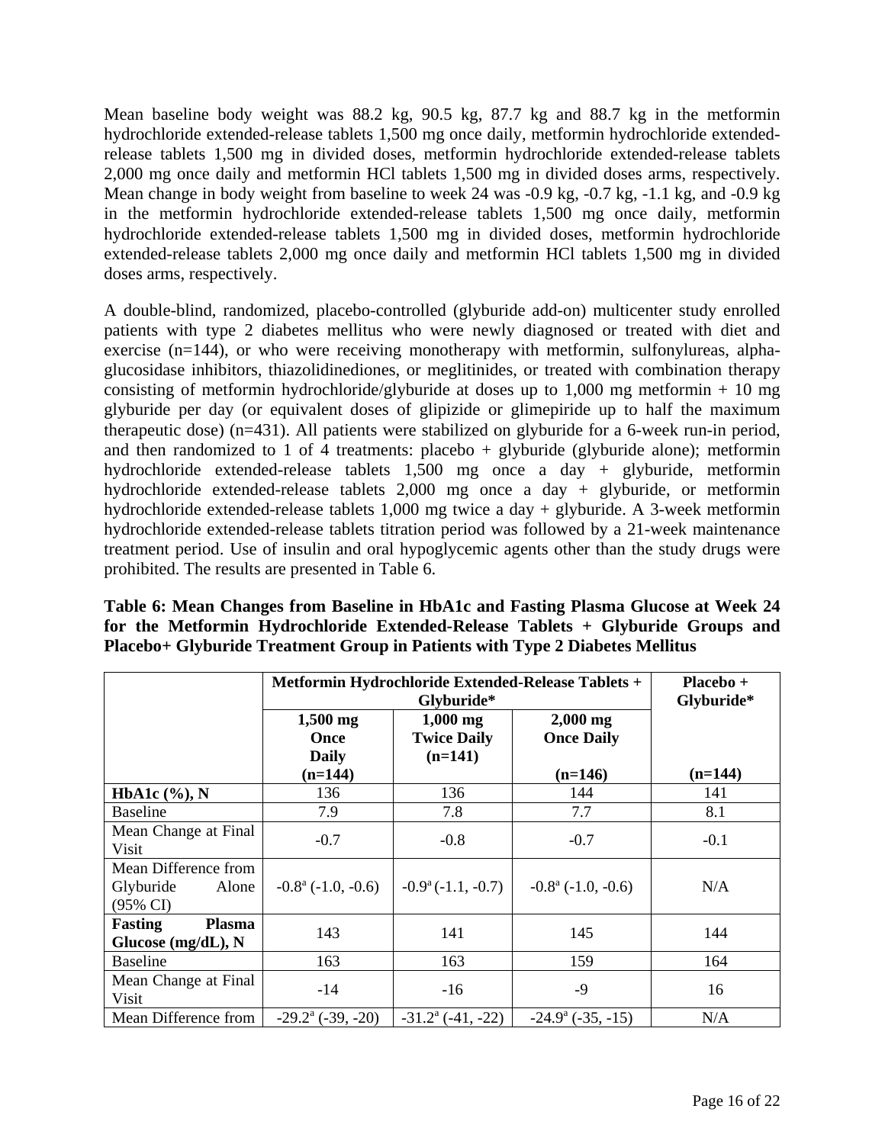Mean baseline body weight was 88.2 kg, 90.5 kg, 87.7 kg and 88.7 kg in the metformin hydrochloride extended-release tablets 1,500 mg once daily, metformin hydrochloride extendedrelease tablets 1,500 mg in divided doses, metformin hydrochloride extended-release tablets 2,000 mg once daily and metformin HCl tablets 1,500 mg in divided doses arms, respectively. Mean change in body weight from baseline to week 24 was -0.9 kg, -0.7 kg, -1.1 kg, and -0.9 kg in the metformin hydrochloride extended-release tablets 1,500 mg once daily, metformin hydrochloride extended-release tablets 1,500 mg in divided doses, metformin hydrochloride extended-release tablets 2,000 mg once daily and metformin HCl tablets 1,500 mg in divided doses arms, respectively.

A double-blind, randomized, placebo-controlled (glyburide add-on) multicenter study enrolled patients with type 2 diabetes mellitus who were newly diagnosed or treated with diet and exercise (n=144), or who were receiving monotherapy with metformin, sulfonylureas, alphaglucosidase inhibitors, thiazolidinediones, or meglitinides, or treated with combination therapy consisting of metformin hydrochloride/glyburide at doses up to  $1,000$  mg metformin + 10 mg glyburide per day (or equivalent doses of glipizide or glimepiride up to half the maximum therapeutic dose) (n=431). All patients were stabilized on glyburide for a 6-week run-in period, and then randomized to 1 of 4 treatments: placebo + glyburide (glyburide alone); metformin hydrochloride extended-release tablets 1,500 mg once a day + glyburide, metformin hydrochloride extended-release tablets 2,000 mg once a day + glyburide, or metformin hydrochloride extended-release tablets 1,000 mg twice a day + glyburide. A 3-week metformin hydrochloride extended-release tablets titration period was followed by a 21-week maintenance treatment period. Use of insulin and oral hypoglycemic agents other than the study drugs were prohibited. The results are presented in Table 6.

| Table 6: Mean Changes from Baseline in HbA1c and Fasting Plasma Glucose at Week 24 |
|------------------------------------------------------------------------------------|
| for the Metformin Hydrochloride Extended-Release Tablets + Glyburide Groups and    |
| Placebo+ Glyburide Treatment Group in Patients with Type 2 Diabetes Mellitus       |

|                                                                   | Metformin Hydrochloride Extended-Release Tablets + | Placebo +<br>Glyburide*                       |                                    |                  |
|-------------------------------------------------------------------|----------------------------------------------------|-----------------------------------------------|------------------------------------|------------------|
|                                                                   | $1,500$ mg<br>Once<br><b>Daily</b>                 | $1,000$ mg<br><b>Twice Daily</b><br>$(n=141)$ | $2,000$ mg<br><b>Once Daily</b>    |                  |
| HbA1c $(\%), N$                                                   | $(n=144)$<br>136                                   | 136                                           | $(n=146)$<br>144                   | $(n=144)$<br>141 |
| <b>Baseline</b>                                                   | 7.9                                                | 7.8                                           | 7.7                                | 8.1              |
| Mean Change at Final<br>Visit                                     | $-0.7$                                             | $-0.8$                                        | $-0.7$                             | $-0.1$           |
| Mean Difference from<br>Glyburide<br>Alone<br>$(95\% \text{ CI})$ | $-0.8^{\text{a}}$ ( $-1.0, -0.6$ )                 | $-0.9^{\mathrm{a}}(-1.1, -0.7)$               | $-0.8^{\text{a}}$ ( $-1.0, -0.6$ ) | N/A              |
| <b>Fasting</b><br><b>Plasma</b><br>Glucose (mg/dL), N             | 143                                                | 141                                           | 145                                | 144              |
| <b>Baseline</b>                                                   | 163                                                | 163                                           | 159                                | 164              |
| Mean Change at Final<br><b>Visit</b>                              | $-14$                                              | $-16$                                         | $-9$                               | 16               |
| Mean Difference from                                              | $-29.2^{\mathrm{a}}$ (-39, -20)                    | $-31.2^{\circ}$ (-41, -22)                    | $-24.9^{\circ}$ ( $-35, -15$ )     | N/A              |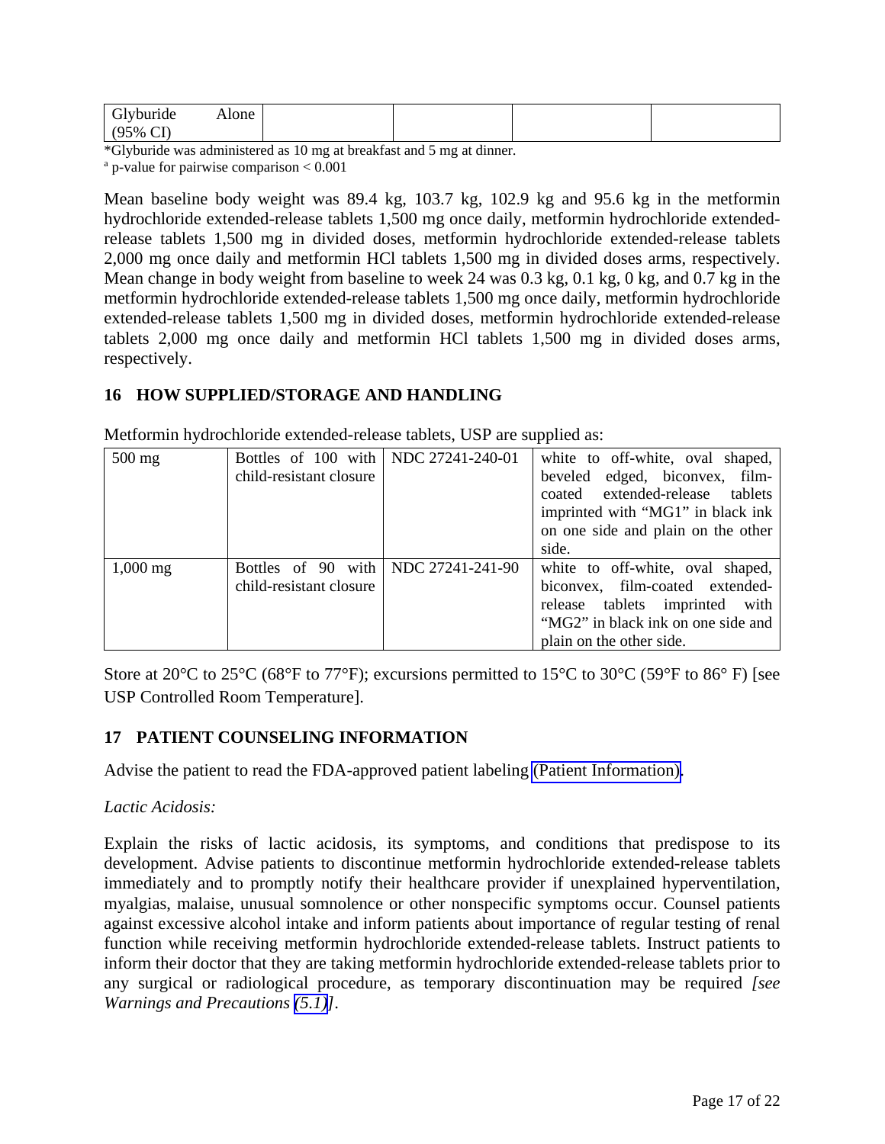<span id="page-16-0"></span>

| <u>v.</u>             | Alone |  |  |
|-----------------------|-------|--|--|
| $\sim$ $\sim$<br>50/2 |       |  |  |

\*Glyburide was administered as 10 mg at breakfast and 5 mg at dinner.

a p-value for pairwise comparison < 0.001

Mean baseline body weight was 89.4 kg, 103.7 kg, 102.9 kg and 95.6 kg in the metformin hydrochloride extended-release tablets 1,500 mg once daily, metformin hydrochloride extendedrelease tablets 1,500 mg in divided doses, metformin hydrochloride extended-release tablets 2,000 mg once daily and metformin HCl tablets 1,500 mg in divided doses arms, respectively. Mean change in body weight from baseline to week 24 was 0.3 kg, 0.1 kg, 0 kg, and 0.7 kg in the metformin hydrochloride extended-release tablets 1,500 mg once daily, metformin hydrochloride extended-release tablets 1,500 mg in divided doses, metformin hydrochloride extended-release tablets 2,000 mg once daily and metformin HCl tablets 1,500 mg in divided doses arms, respectively.

# **16 HOW SUPPLIED/STORAGE AND HANDLING**

Metformin hydrochloride extended-release tablets, USP are supplied as:

| $500$ mg           | Bottles of 100 with   NDC 27241-240-01 |                  | white to off-white, oval shaped,   |
|--------------------|----------------------------------------|------------------|------------------------------------|
|                    | child-resistant closure                |                  | beveled edged, biconvex, film-     |
|                    |                                        |                  | coated extended-release tablets    |
|                    |                                        |                  | imprinted with "MG1" in black ink  |
|                    |                                        |                  | on one side and plain on the other |
|                    |                                        |                  | side.                              |
| $1,000 \text{ mg}$ | Bottles of 90 with                     | NDC 27241-241-90 | white to off-white, oval shaped,   |
|                    | child-resistant closure                |                  | biconvex, film-coated extended-    |
|                    |                                        |                  | release tablets imprinted<br>with  |
|                    |                                        |                  | "MG2" in black ink on one side and |
|                    |                                        |                  | plain on the other side.           |

Store at 20 $^{\circ}$ C to 25 $^{\circ}$ C (68 $^{\circ}$ F to 77 $^{\circ}$ F); excursions permitted to 15 $^{\circ}$ C to 30 $^{\circ}$ C (59 $^{\circ}$ F to 86 $^{\circ}$  F) [see USP Controlled Room Temperature].

## **17 PATIENT COUNSELING INFORMATION**

Advise the patient to read the FDA-approved patient labeling [\(Patient Information\).](#page-18-0)

## *Lactic Acidosis:*

Explain the risks of lactic acidosis, its symptoms, and conditions that predispose to its development. Advise patients to discontinue metformin hydrochloride extended-release tablets immediately and to promptly notify their healthcare provider if unexplained hyperventilation, myalgias, malaise, unusual somnolence or other nonspecific symptoms occur. Counsel patients against excessive alcohol intake and inform patients about importance of regular testing of renal function while receiving metformin hydrochloride extended-release tablets. Instruct patients to inform their doctor that they are taking metformin hydrochloride extended-release tablets prior to any surgical or radiological procedure, as temporary discontinuation may be required *[see Warnings and Precautions [\(5.1\)\]](#page-2-0)*.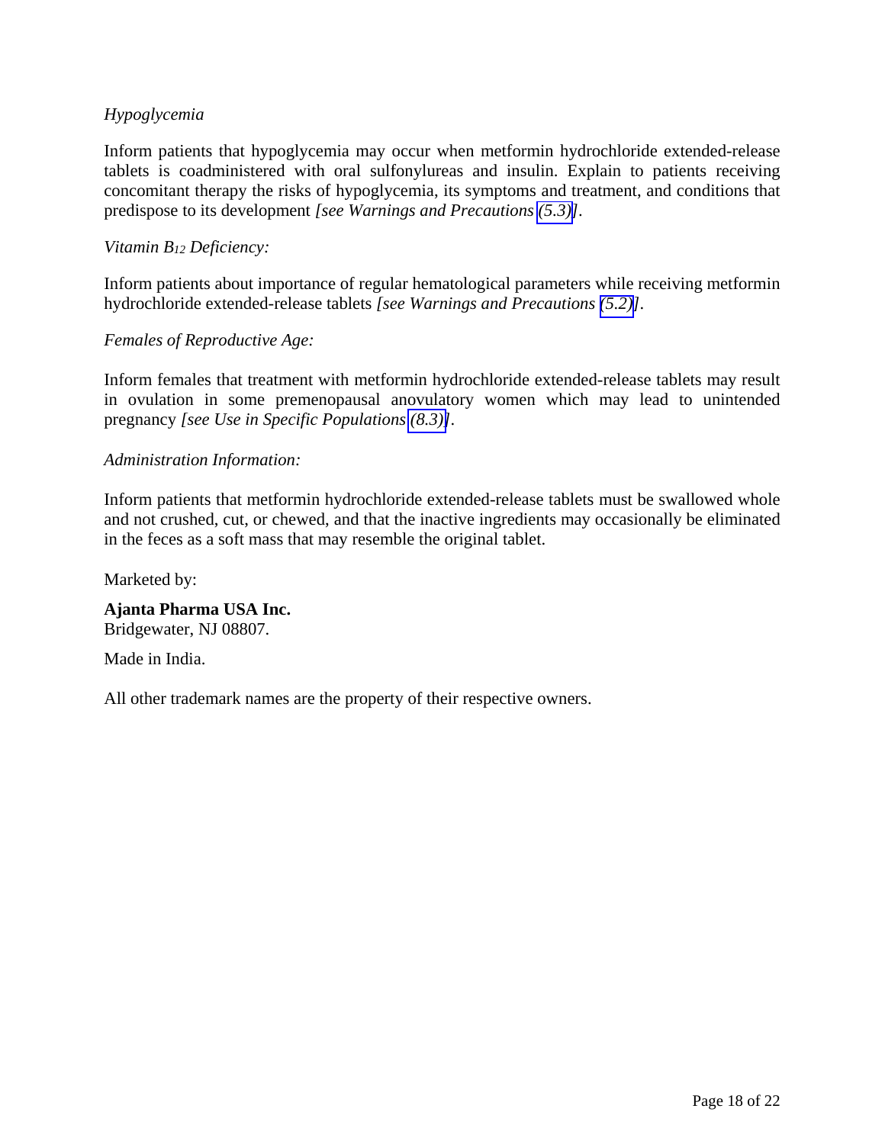## *Hypoglycemia*

Inform patients that hypoglycemia may occur when metformin hydrochloride extended-release tablets is coadministered with oral sulfonylureas and insulin. Explain to patients receiving concomitant therapy the risks of hypoglycemia, its symptoms and treatment, and conditions that predispose to its development *[see Warnings and Precautions [\(5.3\)\]](#page-5-0)*.

#### *Vitamin B12 Deficiency:*

Inform patients about importance of regular hematological parameters while receiving metformin hydrochloride extended-release tablets *[see Warnings and Precautions [\(5.2\)\]](#page-4-0)*.

#### *Females of Reproductive Age:*

Inform females that treatment with metformin hydrochloride extended-release tablets may result in ovulation in some premenopausal anovulatory women which may lead to unintended pregnancy *[see Use in Specific Populations [\(8.3\)\]](#page-8-0)*.

## *Administration Information:*

Inform patients that metformin hydrochloride extended-release tablets must be swallowed whole and not crushed, cut, or chewed, and that the inactive ingredients may occasionally be eliminated in the feces as a soft mass that may resemble the original tablet.

Marketed by:

**Ajanta Pharma USA Inc.**  Bridgewater, NJ 08807.

Made in India.

All other trademark names are the property of their respective owners.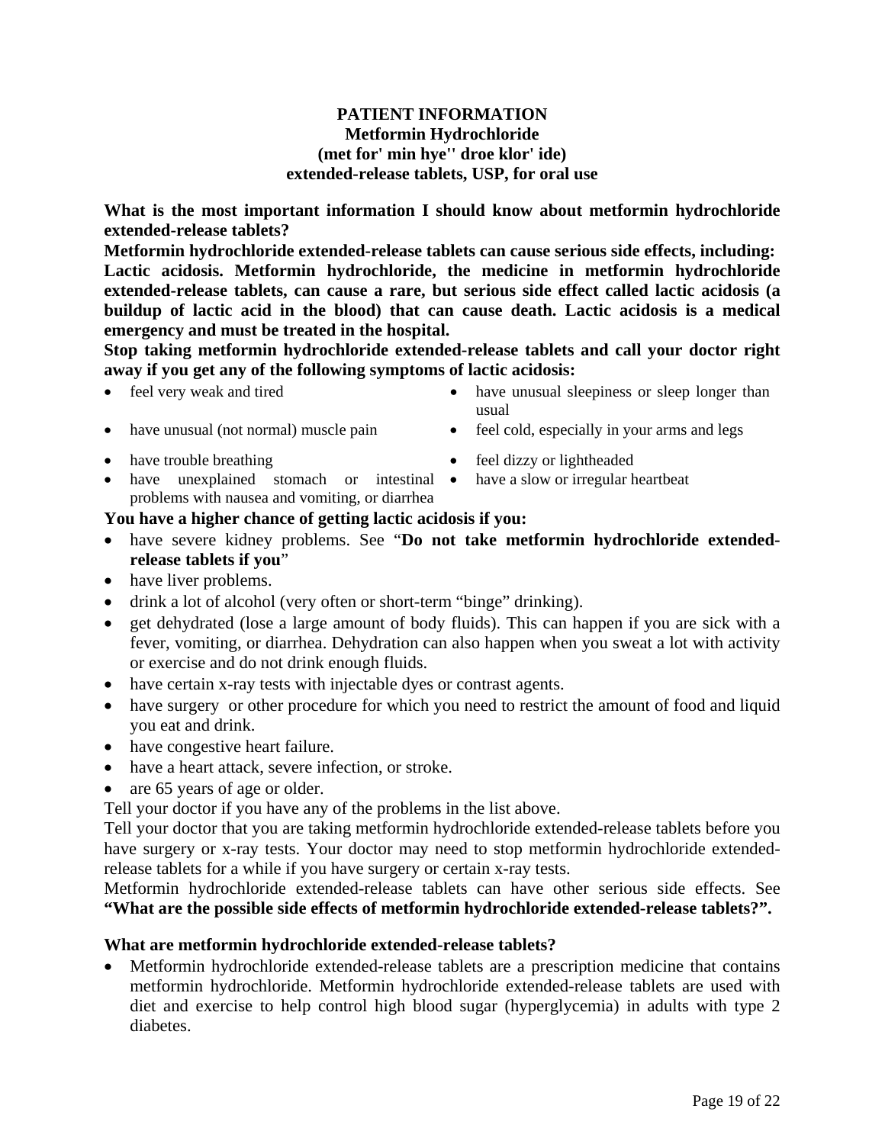#### <span id="page-18-0"></span>**PATIENT INFORMATION Metformin Hydrochloride (met for' min hye'' droe klor' ide) extended-release tablets, USP, for oral use**

**What is the most important information I should know about metformin hydrochloride extended-release tablets?** 

**Metformin hydrochloride extended-release tablets can cause serious side effects, including: Lactic acidosis. Metformin hydrochloride, the medicine in metformin hydrochloride extended-release tablets, can cause a rare, but serious side effect called lactic acidosis (a buildup of lactic acid in the blood) that can cause death. Lactic acidosis is a medical emergency and must be treated in the hospital.** 

**Stop taking metformin hydrochloride extended-release tablets and call your doctor right away if you get any of the following symptoms of lactic acidosis:** 

- 
- feel very weak and tired **have unusual sleepiness or sleep longer than** usual
- have unusual (not normal) muscle pain feel cold, especially in your arms and legs
- have trouble breathing <br>• feel dizzy or lightheaded
- have unexplained stomach or intestinal have a slow or irregular heartbeat problems with nausea and vomiting, or diarrhea

#### **You have a higher chance of getting lactic acidosis if you:**

- have severe kidney problems. See "**Do not take metformin hydrochloride extendedrelease tablets if you**"
- have liver problems.
- drink a lot of alcohol (very often or short-term "binge" drinking).
- get dehydrated (lose a large amount of body fluids). This can happen if you are sick with a fever, vomiting, or diarrhea. Dehydration can also happen when you sweat a lot with activity or exercise and do not drink enough fluids.
- have certain x-ray tests with injectable dyes or contrast agents.
- have surgery or other procedure for which you need to restrict the amount of food and liquid you eat and drink.
- have congestive heart failure.
- have a heart attack, severe infection, or stroke.
- are 65 years of age or older.

Tell your doctor if you have any of the problems in the list above.

Tell your doctor that you are taking metformin hydrochloride extended-release tablets before you have surgery or x-ray tests. Your doctor may need to stop metformin hydrochloride extendedrelease tablets for a while if you have surgery or certain x-ray tests.

Metformin hydrochloride extended-release tablets can have other serious side effects. See **"What are the possible side effects of metformin hydrochloride extended-release tablets?".**

#### **What are metformin hydrochloride extended-release tablets?**

- Metformin hydrochloride extended-release tablets are a prescription medicine that contains metformin hydrochloride. Metformin hydrochloride extended-release tablets are used with diet and exercise to help control high blood sugar (hyperglycemia) in adults with type 2 diabetes.
	-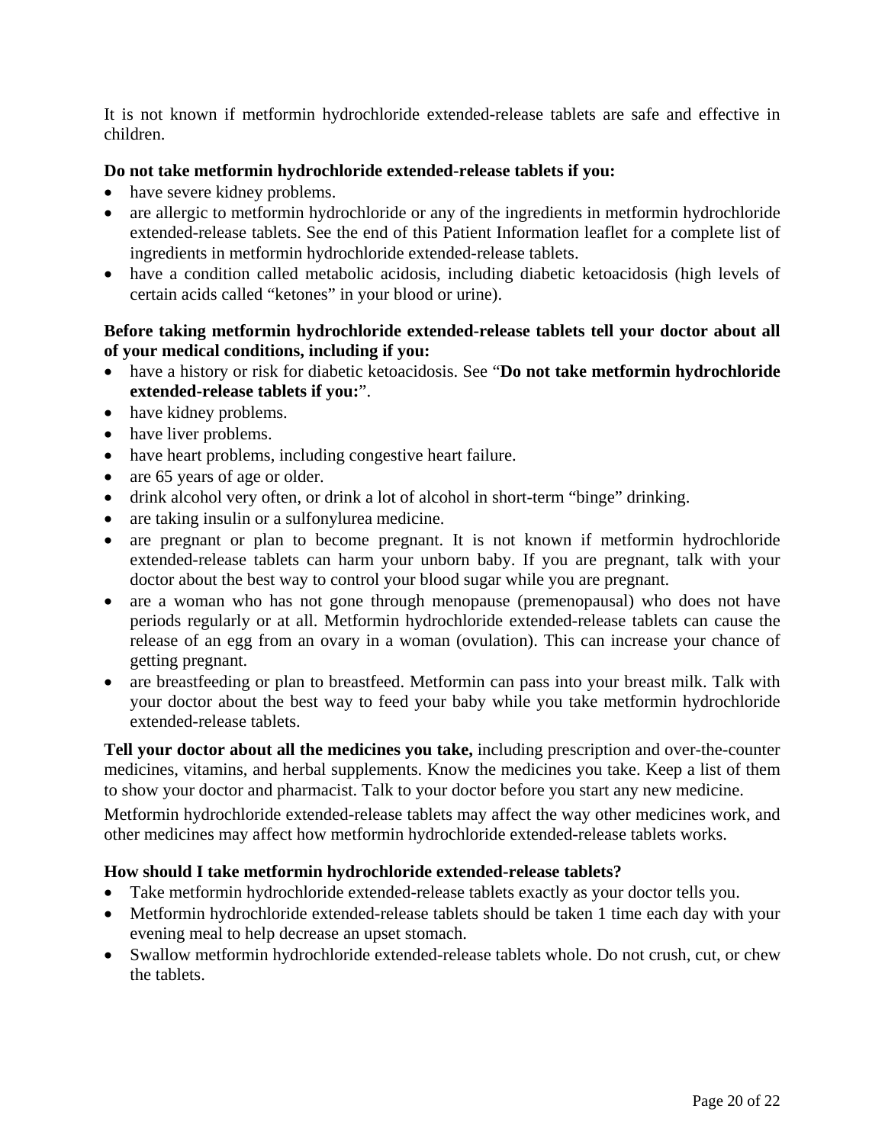It is not known if metformin hydrochloride extended-release tablets are safe and effective in children.

#### **Do not take metformin hydrochloride extended-release tablets if you:**

- have severe kidney problems.
- are allergic to metformin hydrochloride or any of the ingredients in metformin hydrochloride extended-release tablets. See the end of this Patient Information leaflet for a complete list of ingredients in metformin hydrochloride extended-release tablets.
- have a condition called metabolic acidosis, including diabetic ketoacidosis (high levels of certain acids called "ketones" in your blood or urine).

#### **Before taking metformin hydrochloride extended-release tablets tell your doctor about all of your medical conditions, including if you:**

- have a history or risk for diabetic ketoacidosis. See "**Do not take metformin hydrochloride extended-release tablets if you:**".
- have kidney problems.
- have liver problems.
- have heart problems, including congestive heart failure.
- are 65 years of age or older.
- drink alcohol very often, or drink a lot of alcohol in short-term "binge" drinking.
- are taking insulin or a sulfonylurea medicine.
- are pregnant or plan to become pregnant. It is not known if metformin hydrochloride extended-release tablets can harm your unborn baby. If you are pregnant, talk with your doctor about the best way to control your blood sugar while you are pregnant.
- are a woman who has not gone through menopause (premenopausal) who does not have periods regularly or at all. Metformin hydrochloride extended-release tablets can cause the release of an egg from an ovary in a woman (ovulation). This can increase your chance of getting pregnant.
- are breastfeeding or plan to breastfeed. Metformin can pass into your breast milk. Talk with your doctor about the best way to feed your baby while you take metformin hydrochloride extended-release tablets.

**Tell your doctor about all the medicines you take,** including prescription and over-the-counter medicines, vitamins, and herbal supplements. Know the medicines you take. Keep a list of them to show your doctor and pharmacist. Talk to your doctor before you start any new medicine.

Metformin hydrochloride extended-release tablets may affect the way other medicines work, and other medicines may affect how metformin hydrochloride extended-release tablets works.

#### **How should I take metformin hydrochloride extended-release tablets?**

- Take metformin hydrochloride extended-release tablets exactly as your doctor tells you.
- Metformin hydrochloride extended-release tablets should be taken 1 time each day with your evening meal to help decrease an upset stomach.
- Swallow metformin hydrochloride extended-release tablets whole. Do not crush, cut, or chew the tablets.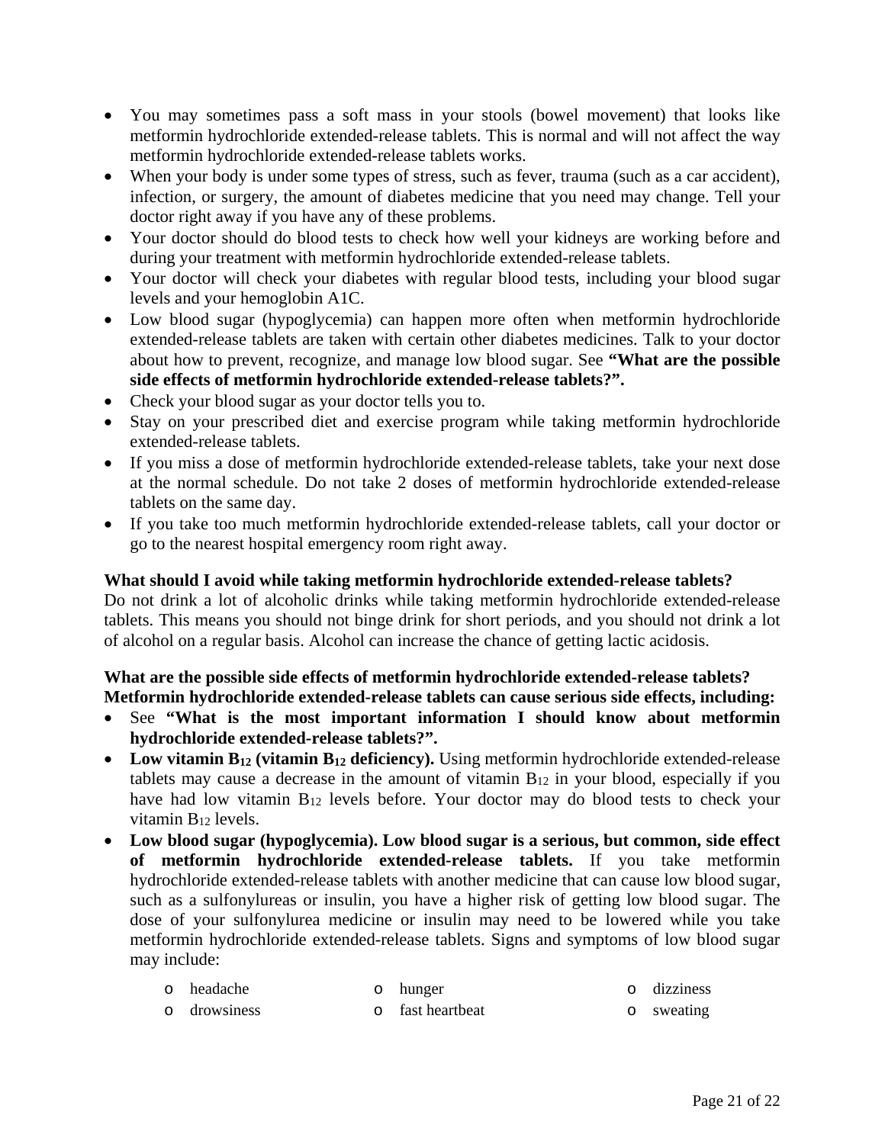- You may sometimes pass a soft mass in your stools (bowel movement) that looks like metformin hydrochloride extended-release tablets. This is normal and will not affect the way metformin hydrochloride extended-release tablets works.
- When your body is under some types of stress, such as fever, trauma (such as a car accident), infection, or surgery, the amount of diabetes medicine that you need may change. Tell your doctor right away if you have any of these problems.
- Your doctor should do blood tests to check how well your kidneys are working before and during your treatment with metformin hydrochloride extended-release tablets.
- Your doctor will check your diabetes with regular blood tests, including your blood sugar levels and your hemoglobin A1C.
- Low blood sugar (hypoglycemia) can happen more often when metformin hydrochloride extended-release tablets are taken with certain other diabetes medicines. Talk to your doctor about how to prevent, recognize, and manage low blood sugar. See **"What are the possible side effects of metformin hydrochloride extended-release tablets?".**
- Check your blood sugar as your doctor tells you to.
- Stay on your prescribed diet and exercise program while taking metformin hydrochloride extended-release tablets.
- If you miss a dose of metformin hydrochloride extended-release tablets, take your next dose at the normal schedule. Do not take 2 doses of metformin hydrochloride extended-release tablets on the same day.
- If you take too much metformin hydrochloride extended-release tablets, call your doctor or go to the nearest hospital emergency room right away.

## **What should I avoid while taking metformin hydrochloride extended-release tablets?**

Do not drink a lot of alcoholic drinks while taking metformin hydrochloride extended-release tablets. This means you should not binge drink for short periods, and you should not drink a lot of alcohol on a regular basis. Alcohol can increase the chance of getting lactic acidosis.

#### **What are the possible side effects of metformin hydrochloride extended-release tablets? Metformin hydrochloride extended-release tablets can cause serious side effects, including:**

- See **"What is the most important information I should know about metformin hydrochloride extended-release tablets?".**
- Low vitamin B<sub>12</sub> (vitamin B<sub>12</sub> deficiency). Using metformin hydrochloride extended-release tablets may cause a decrease in the amount of vitamin  $B_{12}$  in your blood, especially if you have had low vitamin B<sub>12</sub> levels before. Your doctor may do blood tests to check your vitamin B12 levels.
- **Low blood sugar (hypoglycemia). Low blood sugar is a serious, but common, side effect of metformin hydrochloride extended-release tablets.** If you take metformin hydrochloride extended-release tablets with another medicine that can cause low blood sugar, such as a sulfonylureas or insulin, you have a higher risk of getting low blood sugar. The dose of your sulfonylurea medicine or insulin may need to be lowered while you take metformin hydrochloride extended-release tablets. Signs and symptoms of low blood sugar may include:

| 0 headache   | o hunger         | o dizziness |
|--------------|------------------|-------------|
| o drowsiness | o fast heartbeat | o sweating  |